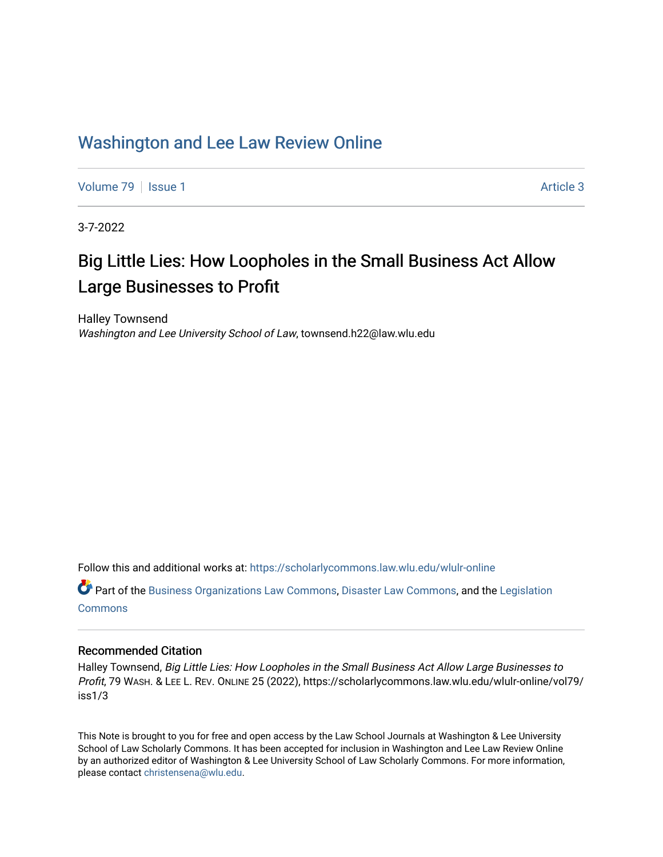## [Washington and Lee Law Review Online](https://scholarlycommons.law.wlu.edu/wlulr-online)

[Volume 79](https://scholarlycommons.law.wlu.edu/wlulr-online/vol79) | [Issue 1](https://scholarlycommons.law.wlu.edu/wlulr-online/vol79/iss1) Article 3

3-7-2022

## Big Little Lies: How Loopholes in the Small Business Act Allow Large Businesses to Profit

Halley Townsend Washington and Lee University School of Law, townsend.h22@law.wlu.edu

Follow this and additional works at: [https://scholarlycommons.law.wlu.edu/wlulr-online](https://scholarlycommons.law.wlu.edu/wlulr-online?utm_source=scholarlycommons.law.wlu.edu%2Fwlulr-online%2Fvol79%2Fiss1%2F3&utm_medium=PDF&utm_campaign=PDFCoverPages) 

Part of the [Business Organizations Law Commons](http://network.bepress.com/hgg/discipline/900?utm_source=scholarlycommons.law.wlu.edu%2Fwlulr-online%2Fvol79%2Fiss1%2F3&utm_medium=PDF&utm_campaign=PDFCoverPages), [Disaster Law Commons,](http://network.bepress.com/hgg/discipline/1348?utm_source=scholarlycommons.law.wlu.edu%2Fwlulr-online%2Fvol79%2Fiss1%2F3&utm_medium=PDF&utm_campaign=PDFCoverPages) and the [Legislation](http://network.bepress.com/hgg/discipline/859?utm_source=scholarlycommons.law.wlu.edu%2Fwlulr-online%2Fvol79%2Fiss1%2F3&utm_medium=PDF&utm_campaign=PDFCoverPages) **[Commons](http://network.bepress.com/hgg/discipline/859?utm_source=scholarlycommons.law.wlu.edu%2Fwlulr-online%2Fvol79%2Fiss1%2F3&utm_medium=PDF&utm_campaign=PDFCoverPages)** 

## Recommended Citation

Halley Townsend, Big Little Lies: How Loopholes in the Small Business Act Allow Large Businesses to Profit, 79 WASH. & LEE L. REV. ONLINE 25 (2022), https://scholarlycommons.law.wlu.edu/wlulr-online/vol79/ iss1/3

This Note is brought to you for free and open access by the Law School Journals at Washington & Lee University School of Law Scholarly Commons. It has been accepted for inclusion in Washington and Lee Law Review Online by an authorized editor of Washington & Lee University School of Law Scholarly Commons. For more information, please contact [christensena@wlu.edu.](mailto:christensena@wlu.edu)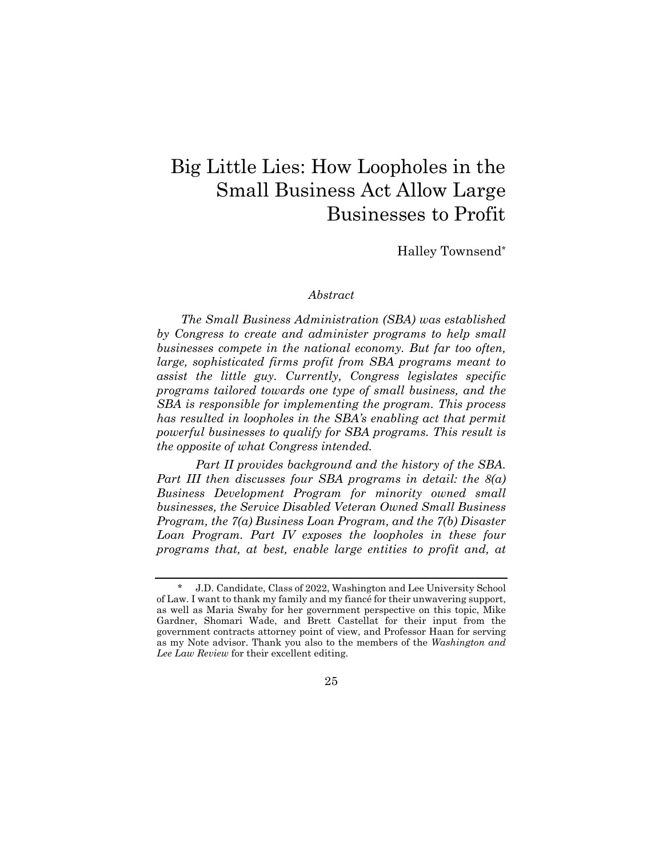# Big Little Lies: How Loopholes in the Small Business Act Allow Large Businesses to Profit

Halley Townsend\*

## *Abstract*

*The Small Business Administration (SBA) was established by Congress to create and administer programs to help small businesses compete in the national economy. But far too often, large, sophisticated firms profit from SBA programs meant to assist the little guy. Currently, Congress legislates specific programs tailored towards one type of small business, and the SBA is responsible for implementing the program. This process has resulted in loopholes in the SBA's enabling act that permit powerful businesses to qualify for SBA programs. This result is the opposite of what Congress intended.* 

 *Part II provides background and the history of the SBA. Part III then discusses four SBA programs in detail: the 8(a) Business Development Program for minority owned small businesses, the Service Disabled Veteran Owned Small Business Program, the 7(a) Business Loan Program, and the 7(b) Disaster Loan Program. Part IV exposes the loopholes in these four programs that, at best, enable large entities to profit and, at* 

25

<sup>\*</sup> J.D. Candidate, Class of 2022, Washington and Lee University School of Law. I want to thank my family and my fiancé for their unwavering support, as well as Maria Swaby for her government perspective on this topic, Mike Gardner, Shomari Wade, and Brett Castellat for their input from the government contracts attorney point of view, and Professor Haan for serving as my Note advisor. Thank you also to the members of the *Washington and Lee Law Review* for their excellent editing.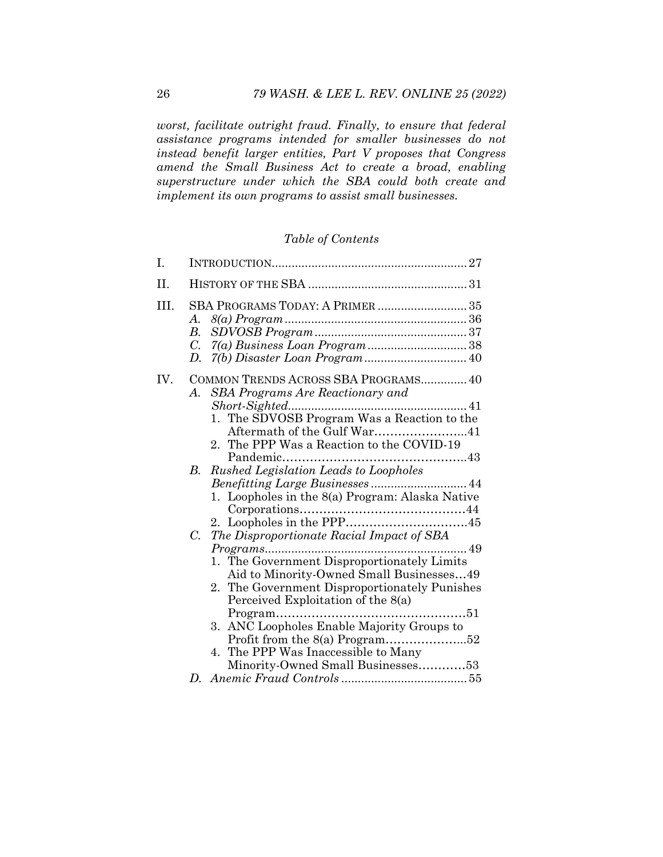*worst, facilitate outright fraud. Finally, to ensure that federal assistance programs intended for smaller businesses do not instead benefit larger entities, Part V proposes that Congress amend the Small Business Act to create a broad, enabling superstructure under which the SBA could both create and implement its own programs to assist small businesses.* 

## *Table of Contents*

| I.   |                                                                                                                                                                                                                                                                                                            |
|------|------------------------------------------------------------------------------------------------------------------------------------------------------------------------------------------------------------------------------------------------------------------------------------------------------------|
| II.  |                                                                                                                                                                                                                                                                                                            |
| III. | SBA PROGRAMS TODAY: A PRIMER 35<br>А.<br>В.<br>$C_{\cdot}$<br>D.                                                                                                                                                                                                                                           |
| IV.  | COMMON TRENDS ACROSS SBA PROGRAMS 40<br>SBA Programs Are Reactionary and<br>A.<br>1. The SDVOSB Program Was a Reaction to the<br>Aftermath of the Gulf War41<br>2. The PPP Was a Reaction to the COVID-19                                                                                                  |
|      | Rushed Legislation Leads to Loopholes<br>B.<br>1. Loopholes in the 8(a) Program: Alaska Native                                                                                                                                                                                                             |
|      | $\mathcal{C}$ .<br>The Disproportionate Racial Impact of SBA<br>. 49<br>The Government Disproportionately Limits<br>1.<br>Aid to Minority-Owned Small Businesses49<br>2. The Government Disproportionately Punishes<br>Perceived Exploitation of the 8(a)<br>ANC Loopholes Enable Majority Groups to<br>3. |
|      | 4. The PPP Was Inaccessible to Many<br>Minority-Owned Small Businesses53                                                                                                                                                                                                                                   |
|      |                                                                                                                                                                                                                                                                                                            |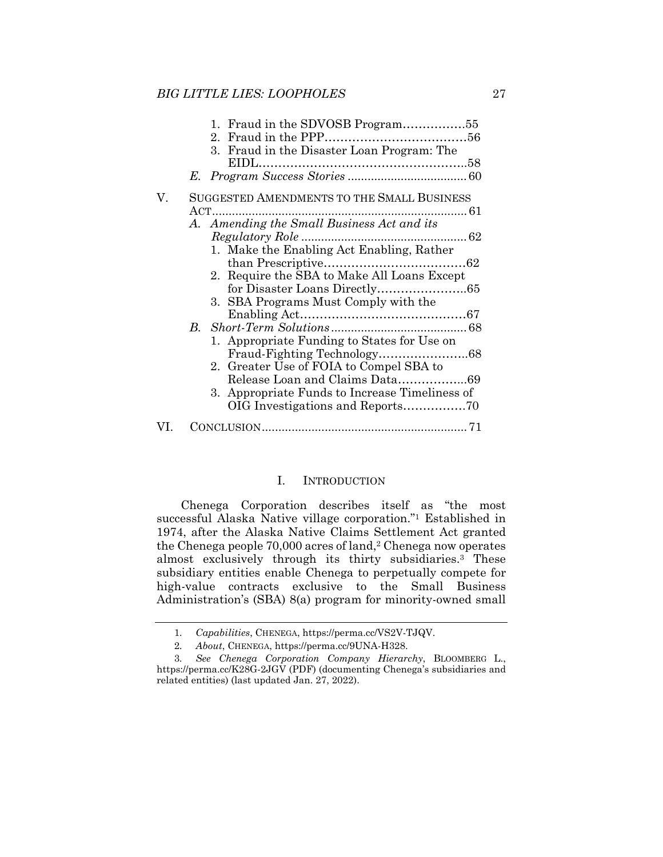|    | 3. Fraud in the Disaster Loan Program: The        |  |
|----|---------------------------------------------------|--|
|    |                                                   |  |
|    | E.                                                |  |
| V. | SUGGESTED AMENDMENTS TO THE SMALL BUSINESS        |  |
|    |                                                   |  |
|    | A. Amending the Small Business Act and its        |  |
|    |                                                   |  |
|    | 1. Make the Enabling Act Enabling, Rather         |  |
|    |                                                   |  |
|    | 2. Require the SBA to Make All Loans Except       |  |
|    |                                                   |  |
|    | 3. SBA Programs Must Comply with the              |  |
|    |                                                   |  |
|    |                                                   |  |
|    | 1. Appropriate Funding to States for Use on       |  |
|    |                                                   |  |
|    | 2. Greater Use of FOIA to Compel SBA to           |  |
|    | Release Loan and Claims Data69                    |  |
|    | Appropriate Funds to Increase Timeliness of<br>3. |  |
|    |                                                   |  |
|    |                                                   |  |

## I. INTRODUCTION

Chenega Corporation describes itself as "the most successful Alaska Native village corporation."1 Established in 1974, after the Alaska Native Claims Settlement Act granted the Chenega people 70,000 acres of land,<sup>2</sup> Chenega now operates almost exclusively through its thirty subsidiaries.3 These subsidiary entities enable Chenega to perpetually compete for high-value contracts exclusive to the Small Business Administration's (SBA) 8(a) program for minority-owned small

<sup>1</sup>*. Capabilities*, CHENEGA, https://perma.cc/VS2V-TJQV.

<sup>2</sup>*. About*, CHENEGA, https://perma.cc/9UNA-H328.

<sup>3</sup>*. See Chenega Corporation Company Hierarchy*, BLOOMBERG L., https://perma.cc/K28G-2JGV (PDF) (documenting Chenega's subsidiaries and related entities) (last updated Jan. 27, 2022).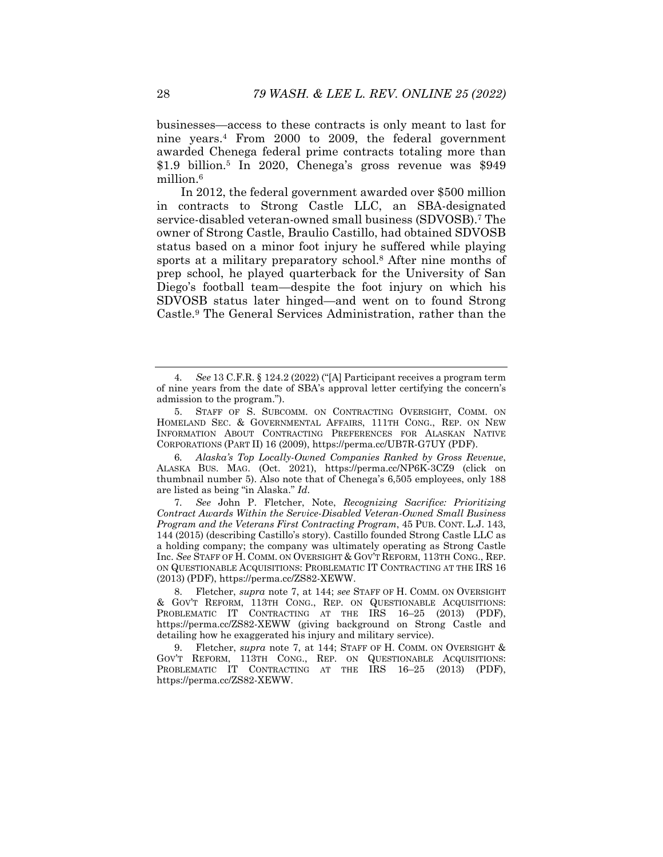businesses—access to these contracts is only meant to last for nine years.4 From 2000 to 2009, the federal government awarded Chenega federal prime contracts totaling more than \$1.9 billion.<sup>5</sup> In 2020, Chenega's gross revenue was \$949 million.<sup>6</sup>

In 2012, the federal government awarded over \$500 million in contracts to Strong Castle LLC, an SBA-designated service-disabled veteran-owned small business (SDVOSB).7 The owner of Strong Castle, Braulio Castillo, had obtained SDVOSB status based on a minor foot injury he suffered while playing sports at a military preparatory school.<sup>8</sup> After nine months of prep school, he played quarterback for the University of San Diego's football team—despite the foot injury on which his SDVOSB status later hinged—and went on to found Strong Castle.9 The General Services Administration, rather than the

6*. Alaska's Top Locally-Owned Companies Ranked by Gross Revenue*, ALASKA BUS. MAG. (Oct. 2021), https://perma.cc/NP6K-3CZ9 (click on thumbnail number 5). Also note that of Chenega's 6,505 employees, only 188 are listed as being "in Alaska." *Id*.

7*. See* John P. Fletcher, Note, *Recognizing Sacrifice: Prioritizing Contract Awards Within the Service-Disabled Veteran-Owned Small Business Program and the Veterans First Contracting Program*, 45 PUB. CONT. L.J. 143, 144 (2015) (describing Castillo's story). Castillo founded Strong Castle LLC as a holding company; the company was ultimately operating as Strong Castle Inc. *See* STAFF OF H. COMM. ON OVERSIGHT & GOV'T REFORM, 113TH CONG., REP. ON QUESTIONABLE ACQUISITIONS: PROBLEMATIC IT CONTRACTING AT THE IRS 16 (2013) (PDF), https://perma.cc/ZS82-XEWW.

 8. Fletcher, *supra* note 7, at 144; *see* STAFF OF H. COMM. ON OVERSIGHT & GOV'T REFORM, 113TH CONG., REP. ON QUESTIONABLE ACQUISITIONS: PROBLEMATIC IT CONTRACTING AT THE IRS 16-25 (2013) (PDF), https://perma.cc/ZS82-XEWW (giving background on Strong Castle and detailing how he exaggerated his injury and military service).

 9. Fletcher, *supra* note 7, at 144; STAFF OF H. COMM. ON OVERSIGHT & GOV'T REFORM, 113TH CONG., REP. ON QUESTIONABLE ACQUISITIONS: PROBLEMATIC IT CONTRACTING AT THE IRS 16-25 (2013) (PDF), https://perma.cc/ZS82-XEWW.

<sup>4</sup>*. See* 13 C.F.R. § 124.2 (2022) ("[A] Participant receives a program term of nine years from the date of SBA's approval letter certifying the concern's admission to the program.").

 <sup>5.</sup> STAFF OF S. SUBCOMM. ON CONTRACTING OVERSIGHT, COMM. ON HOMELAND SEC. & GOVERNMENTAL AFFAIRS, 111TH CONG., REP. ON NEW INFORMATION ABOUT CONTRACTING PREFERENCES FOR ALASKAN NATIVE CORPORATIONS (PART II) 16 (2009), https://perma.cc/UB7R-G7UY (PDF).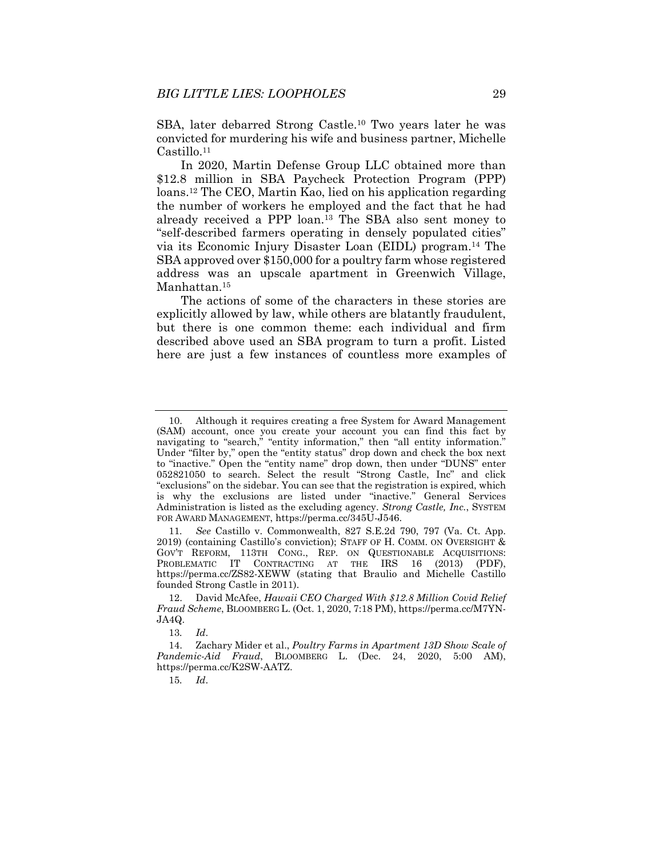SBA, later debarred Strong Castle.10 Two years later he was convicted for murdering his wife and business partner, Michelle Castillo.11

In 2020, Martin Defense Group LLC obtained more than \$12.8 million in SBA Paycheck Protection Program (PPP) loans.12 The CEO, Martin Kao, lied on his application regarding the number of workers he employed and the fact that he had already received a PPP loan.13 The SBA also sent money to "self-described farmers operating in densely populated cities" via its Economic Injury Disaster Loan (EIDL) program.14 The SBA approved over \$150,000 for a poultry farm whose registered address was an upscale apartment in Greenwich Village, Manhattan.<sup>15</sup>

The actions of some of the characters in these stories are explicitly allowed by law, while others are blatantly fraudulent, but there is one common theme: each individual and firm described above used an SBA program to turn a profit. Listed here are just a few instances of countless more examples of

11*. See* Castillo v. Commonwealth, 827 S.E.2d 790, 797 (Va. Ct. App. 2019) (containing Castillo's conviction); STAFF OF H. COMM. ON OVERSIGHT & GOV'T REFORM, 113TH CONG., REP. ON QUESTIONABLE ACQUISITIONS: PROBLEMATIC IT CONTRACTING AT THE IRS 16 (2013) (PDF), https://perma.cc/ZS82-XEWW (stating that Braulio and Michelle Castillo founded Strong Castle in 2011).

 12. David McAfee, *Hawaii CEO Charged With \$12.8 Million Covid Relief Fraud Scheme*, BLOOMBERG L. (Oct. 1, 2020, 7:18 PM), https://perma.cc/M7YN-JA4Q.

13*. Id*.

 14. Zachary Mider et al., *Poultry Farms in Apartment 13D Show Scale of Pandemic-Aid Fraud*, BLOOMBERG L. (Dec. 24, 2020, 5:00 AM), https://perma.cc/K2SW-AATZ.

15*. Id*.

 <sup>10.</sup> Although it requires creating a free System for Award Management (SAM) account, once you create your account you can find this fact by navigating to "search," "entity information," then "all entity information." Under "filter by," open the "entity status" drop down and check the box next to "inactive." Open the "entity name" drop down, then under "DUNS" enter 052821050 to search. Select the result "Strong Castle, Inc" and click "exclusions" on the sidebar. You can see that the registration is expired, which is why the exclusions are listed under "inactive." General Services Administration is listed as the excluding agency. *Strong Castle, Inc.*, SYSTEM FOR AWARD MANAGEMENT, https://perma.cc/345U-J546.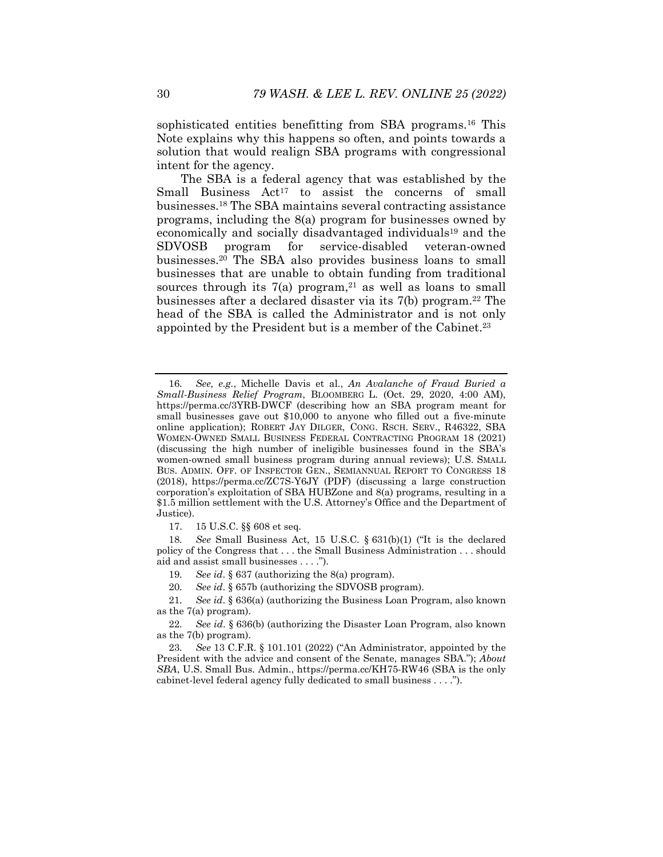sophisticated entities benefitting from SBA programs.<sup>16</sup> This Note explains why this happens so often, and points towards a solution that would realign SBA programs with congressional intent for the agency.

The SBA is a federal agency that was established by the Small Business  $Act^{17}$  to assist the concerns of small businesses.18 The SBA maintains several contracting assistance programs, including the 8(a) program for businesses owned by economically and socially disadvantaged individuals<sup>19</sup> and the SDVOSB program for service-disabled veteran-owned businesses.<sup>20</sup> The SBA also provides business loans to small businesses that are unable to obtain funding from traditional sources through its  $7(a)$  program,<sup>21</sup> as well as loans to small businesses after a declared disaster via its 7(b) program.22 The head of the SBA is called the Administrator and is not only appointed by the President but is a member of the Cabinet.<sup>23</sup>

17. 15 U.S.C. §§ 608 et seq.

18*. See* Small Business Act, 15 U.S.C. § 631(b)(1) ("It is the declared policy of the Congress that . . . the Small Business Administration . . . should aid and assist small businesses . . . .").

20*. See id*. § 657b (authorizing the SDVOSB program).

21*. See id*. § 636(a) (authorizing the Business Loan Program, also known as the 7(a) program).

22*. See id*. § 636(b) (authorizing the Disaster Loan Program, also known as the 7(b) program).

23*. See* 13 C.F.R. § 101.101 (2022) ("An Administrator, appointed by the President with the advice and consent of the Senate, manages SBA."); *About SBA*, U.S. Small Bus. Admin., https://perma.cc/KH75-RW46 (SBA is the only cabinet-level federal agency fully dedicated to small business . . . .").

<sup>16</sup>*. See, e.g.*, Michelle Davis et al., *An Avalanche of Fraud Buried a Small-Business Relief Program*, BLOOMBERG L. (Oct. 29, 2020, 4:00 AM), https://perma.cc/3YRB-DWCF (describing how an SBA program meant for small businesses gave out \$10,000 to anyone who filled out a five-minute online application); ROBERT JAY DILGER, CONG. RSCH. SERV., R46322, SBA WOMEN-OWNED SMALL BUSINESS FEDERAL CONTRACTING PROGRAM 18 (2021) (discussing the high number of ineligible businesses found in the SBA's women-owned small business program during annual reviews); U.S. SMALL BUS. ADMIN. OFF. OF INSPECTOR GEN., SEMIANNUAL REPORT TO CONGRESS 18 (2018), https://perma.cc/ZC7S-Y6JY (PDF) (discussing a large construction corporation's exploitation of SBA HUBZone and 8(a) programs, resulting in a \$1.5 million settlement with the U.S. Attorney's Office and the Department of Justice).

<sup>19</sup>*. See id*. § 637 (authorizing the 8(a) program).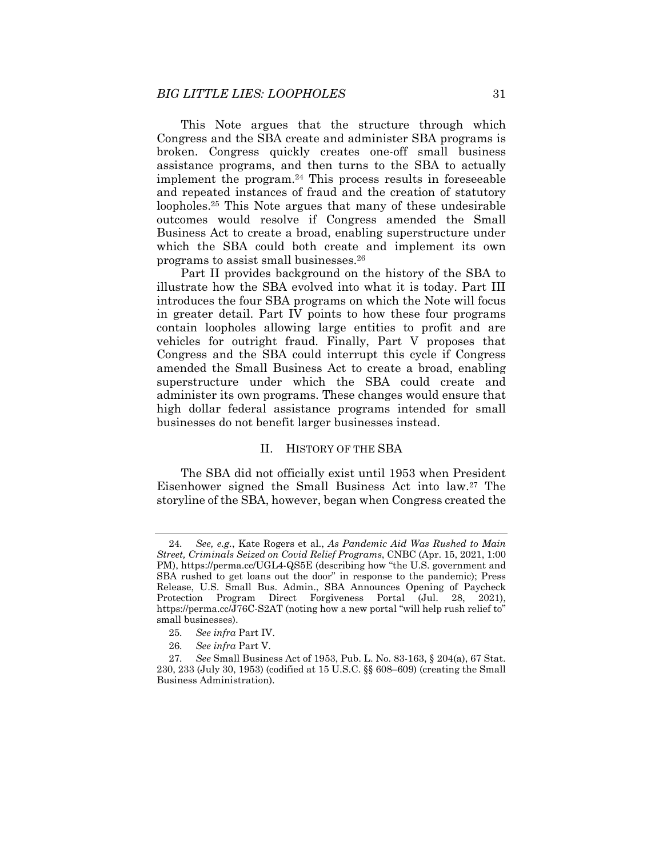This Note argues that the structure through which Congress and the SBA create and administer SBA programs is broken. Congress quickly creates one-off small business assistance programs, and then turns to the SBA to actually implement the program.24 This process results in foreseeable and repeated instances of fraud and the creation of statutory loopholes.25 This Note argues that many of these undesirable outcomes would resolve if Congress amended the Small Business Act to create a broad, enabling superstructure under which the SBA could both create and implement its own programs to assist small businesses.26

Part II provides background on the history of the SBA to illustrate how the SBA evolved into what it is today. Part III introduces the four SBA programs on which the Note will focus in greater detail. Part IV points to how these four programs contain loopholes allowing large entities to profit and are vehicles for outright fraud. Finally, Part V proposes that Congress and the SBA could interrupt this cycle if Congress amended the Small Business Act to create a broad, enabling superstructure under which the SBA could create and administer its own programs. These changes would ensure that high dollar federal assistance programs intended for small businesses do not benefit larger businesses instead.

#### II. HISTORY OF THE SBA

The SBA did not officially exist until 1953 when President Eisenhower signed the Small Business Act into law.27 The storyline of the SBA, however, began when Congress created the

<sup>24</sup>*. See, e.g.*, Kate Rogers et al., *As Pandemic Aid Was Rushed to Main Street, Criminals Seized on Covid Relief Programs*, CNBC (Apr. 15, 2021, 1:00 PM), https://perma.cc/UGL4-QS5E (describing how "the U.S. government and SBA rushed to get loans out the door" in response to the pandemic); Press Release, U.S. Small Bus. Admin., SBA Announces Opening of Paycheck Protection Program Direct Forgiveness Portal (Jul. 28, 2021), https://perma.cc/J76C-S2AT (noting how a new portal "will help rush relief to" small businesses).

<sup>25</sup>*. See infra* Part IV.

<sup>26</sup>*. See infra* Part V.

<sup>27</sup>*. See* Small Business Act of 1953, Pub. L. No. 83-163, § 204(a), 67 Stat. 230, 233 (July 30, 1953) (codified at 15 U.S.C. §§ 608–609) (creating the Small Business Administration).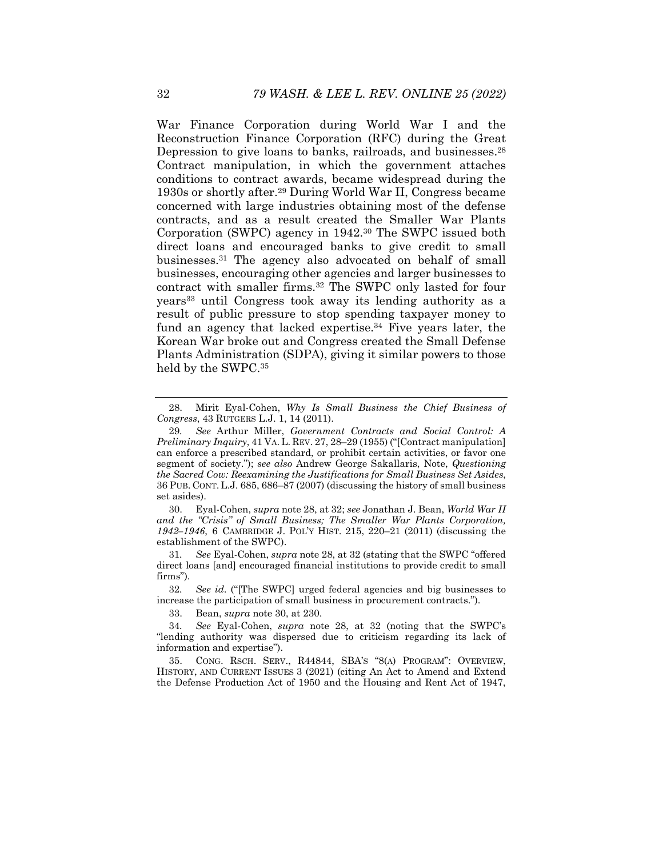War Finance Corporation during World War I and the Reconstruction Finance Corporation (RFC) during the Great Depression to give loans to banks, railroads, and businesses.<sup>28</sup> Contract manipulation, in which the government attaches conditions to contract awards, became widespread during the 1930s or shortly after.29 During World War II, Congress became concerned with large industries obtaining most of the defense contracts, and as a result created the Smaller War Plants Corporation (SWPC) agency in 1942.30 The SWPC issued both direct loans and encouraged banks to give credit to small businesses.31 The agency also advocated on behalf of small businesses, encouraging other agencies and larger businesses to contract with smaller firms.32 The SWPC only lasted for four years33 until Congress took away its lending authority as a result of public pressure to stop spending taxpayer money to fund an agency that lacked expertise.<sup>34</sup> Five years later, the Korean War broke out and Congress created the Small Defense Plants Administration (SDPA), giving it similar powers to those held by the SWPC.35

 30. Eyal-Cohen, *supra* note 28, at 32; *see* Jonathan J. Bean, *World War II and the "Crisis" of Small Business; The Smaller War Plants Corporation, 1942–1946*, 6 CAMBRIDGE J. POL'Y HIST. 215, 220–21 (2011) (discussing the establishment of the SWPC).

31*. See* Eyal-Cohen, *supra* note 28, at 32 (stating that the SWPC "offered direct loans [and] encouraged financial institutions to provide credit to small firms").

32*. See id*. ("[The SWPC] urged federal agencies and big businesses to increase the participation of small business in procurement contracts.").

33. Bean, *supra* note 30, at 230.

 35. CONG. RSCH. SERV., R44844, SBA'S "8(A) PROGRAM": OVERVIEW, HISTORY, AND CURRENT ISSUES 3 (2021) (citing An Act to Amend and Extend the Defense Production Act of 1950 and the Housing and Rent Act of 1947,

 <sup>28.</sup> Mirit Eyal-Cohen, *Why Is Small Business the Chief Business of Congress*, 43 RUTGERS L.J. 1, 14 (2011).

<sup>29</sup>*. See* Arthur Miller, *Government Contracts and Social Control: A Preliminary Inquiry*, 41 VA. L. REV. 27, 28–29 (1955) ("[Contract manipulation] can enforce a prescribed standard, or prohibit certain activities, or favor one segment of society."); *see also* Andrew George Sakallaris, Note, *Questioning the Sacred Cow: Reexamining the Justifications for Small Business Set Asides*, 36 PUB. CONT. L.J. 685, 686–87 (2007) (discussing the history of small business set asides).

<sup>34</sup>*. See* Eyal-Cohen, *supra* note 28, at 32 (noting that the SWPC's "lending authority was dispersed due to criticism regarding its lack of information and expertise").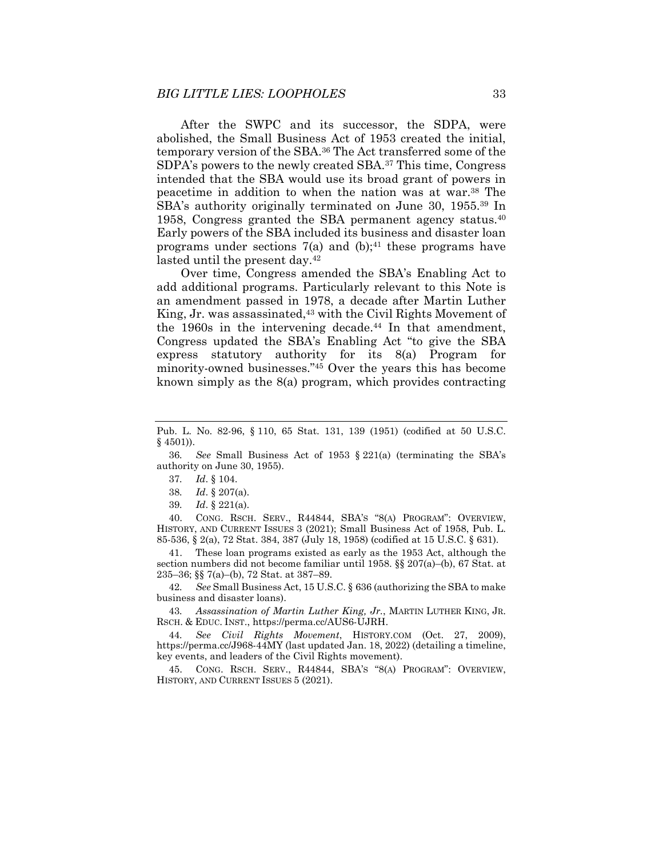After the SWPC and its successor, the SDPA, were abolished, the Small Business Act of 1953 created the initial, temporary version of the SBA.36 The Act transferred some of the SDPA's powers to the newly created SBA.37 This time, Congress intended that the SBA would use its broad grant of powers in peacetime in addition to when the nation was at war.38 The SBA's authority originally terminated on June 30, 1955.39 In 1958, Congress granted the SBA permanent agency status.40 Early powers of the SBA included its business and disaster loan programs under sections  $7(a)$  and  $(b)$ ;<sup>41</sup> these programs have lasted until the present day.<sup>42</sup>

Over time, Congress amended the SBA's Enabling Act to add additional programs. Particularly relevant to this Note is an amendment passed in 1978, a decade after Martin Luther King, Jr. was assassinated,<sup>43</sup> with the Civil Rights Movement of the 1960s in the intervening decade.44 In that amendment, Congress updated the SBA's Enabling Act "to give the SBA express statutory authority for its 8(a) Program for minority-owned businesses."45 Over the years this has become known simply as the 8(a) program, which provides contracting

36*. See* Small Business Act of 1953 § 221(a) (terminating the SBA's authority on June 30, 1955).

- 37*. Id*. § 104.
- 38*. Id*. § 207(a).
- 39*. Id*. § 221(a).

 40. CONG. RSCH. SERV., R44844, SBA'S "8(A) PROGRAM": OVERVIEW, HISTORY, AND CURRENT ISSUES 3 (2021); Small Business Act of 1958, Pub. L. 85-536, § 2(a), 72 Stat. 384, 387 (July 18, 1958) (codified at 15 U.S.C. § 631).

 41. These loan programs existed as early as the 1953 Act, although the section numbers did not become familiar until 1958. §§ 207(a)–(b), 67 Stat. at 235–36; §§ 7(a)–(b), 72 Stat. at 387–89.

42*. See* Small Business Act, 15 U.S.C. § 636 (authorizing the SBA to make business and disaster loans).

43*. Assassination of Martin Luther King, Jr.*, MARTIN LUTHER KING, JR. RSCH. & EDUC. INST., https://perma.cc/AUS6-UJRH.

44*. See Civil Rights Movement*, HISTORY.COM (Oct. 27, 2009), https://perma.cc/J968-44MY (last updated Jan. 18, 2022) (detailing a timeline, key events, and leaders of the Civil Rights movement).

 45. CONG. RSCH. SERV., R44844, SBA'S "8(A) PROGRAM": OVERVIEW, HISTORY, AND CURRENT ISSUES 5 (2021).

Pub. L. No. 82-96, § 110, 65 Stat. 131, 139 (1951) (codified at 50 U.S.C.  $§$  4501)).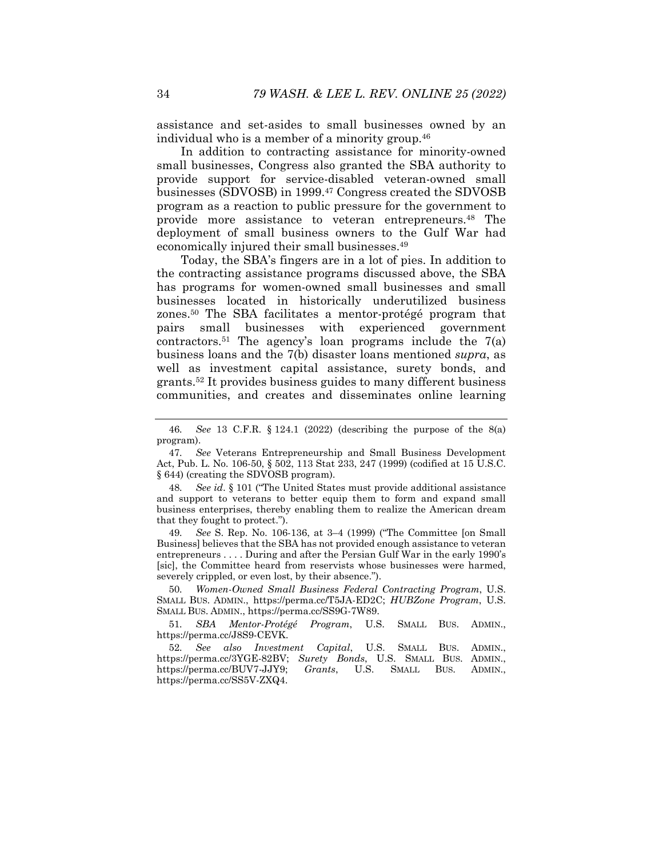assistance and set-asides to small businesses owned by an individual who is a member of a minority group.46

In addition to contracting assistance for minority-owned small businesses, Congress also granted the SBA authority to provide support for service-disabled veteran-owned small businesses (SDVOSB) in 1999.47 Congress created the SDVOSB program as a reaction to public pressure for the government to provide more assistance to veteran entrepreneurs.48 The deployment of small business owners to the Gulf War had economically injured their small businesses.49

Today, the SBA's fingers are in a lot of pies. In addition to the contracting assistance programs discussed above, the SBA has programs for women-owned small businesses and small businesses located in historically underutilized business zones.50 The SBA facilitates a mentor-protégé program that pairs small businesses with experienced government contractors.51 The agency's loan programs include the 7(a) business loans and the 7(b) disaster loans mentioned *supra*, as well as investment capital assistance, surety bonds, and grants.52 It provides business guides to many different business communities, and creates and disseminates online learning

48*. See id*. § 101 ("The United States must provide additional assistance and support to veterans to better equip them to form and expand small business enterprises, thereby enabling them to realize the American dream that they fought to protect.").

49*. See* S. Rep. No. 106-136, at 3–4 (1999) ("The Committee [on Small Business] believes that the SBA has not provided enough assistance to veteran entrepreneurs . . . . During and after the Persian Gulf War in the early 1990's [sic], the Committee heard from reservists whose businesses were harmed, severely crippled, or even lost, by their absence.").

50*. Women-Owned Small Business Federal Contracting Program*, U.S. SMALL BUS. ADMIN., https://perma.cc/T5JA-ED2C; *HUBZone Program*, U.S. SMALL BUS. ADMIN., https://perma.cc/SS9G-7W89.

51*. SBA Mentor-Protégé Program*, U.S. SMALL BUS. ADMIN., https://perma.cc/J8S9-CEVK.

52*. See also Investment Capital*, U.S. SMALL BUS. ADMIN., https://perma.cc/3YGE-82BV; *Surety Bonds*, U.S. SMALL BUS. ADMIN., https://perma.cc/BUV7-JJY9; *Grants*, U.S. SMALL BUS. ADMIN., https://perma.cc/SS5V-ZXQ4.

<sup>46</sup>*. See* 13 C.F.R. § 124.1 (2022) (describing the purpose of the 8(a) program).

<sup>47</sup>*. See* Veterans Entrepreneurship and Small Business Development Act, Pub. L. No. 106-50, § 502, 113 Stat 233, 247 (1999) (codified at 15 U.S.C. § 644) (creating the SDVOSB program).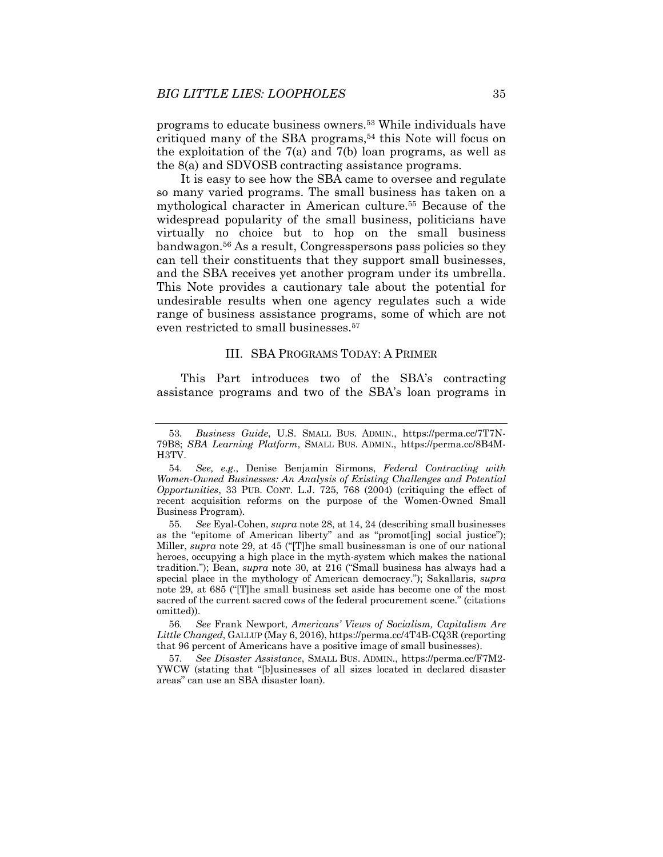programs to educate business owners.53 While individuals have critiqued many of the SBA programs, $54$  this Note will focus on the exploitation of the 7(a) and 7(b) loan programs, as well as the 8(a) and SDVOSB contracting assistance programs.

It is easy to see how the SBA came to oversee and regulate so many varied programs. The small business has taken on a mythological character in American culture.55 Because of the widespread popularity of the small business, politicians have virtually no choice but to hop on the small business bandwagon.56 As a result, Congresspersons pass policies so they can tell their constituents that they support small businesses, and the SBA receives yet another program under its umbrella. This Note provides a cautionary tale about the potential for undesirable results when one agency regulates such a wide range of business assistance programs, some of which are not even restricted to small businesses.57

## III. SBA PROGRAMS TODAY: A PRIMER

This Part introduces two of the SBA's contracting assistance programs and two of the SBA's loan programs in

55*. See* Eyal-Cohen, *supra* note 28, at 14, 24 (describing small businesses as the "epitome of American liberty" and as "promot[ing] social justice"); Miller, *supra* note 29, at 45 ("[T]he small businessman is one of our national heroes, occupying a high place in the myth-system which makes the national tradition."); Bean, *supra* note 30, at 216 ("Small business has always had a special place in the mythology of American democracy."); Sakallaris, *supra* note 29, at 685 ("[T]he small business set aside has become one of the most sacred of the current sacred cows of the federal procurement scene." (citations omitted)).

56*. See* Frank Newport, *Americans' Views of Socialism, Capitalism Are Little Changed*, GALLUP (May 6, 2016), https://perma.cc/4T4B-CQ3R (reporting that 96 percent of Americans have a positive image of small businesses).

57*. See Disaster Assistance*, SMALL BUS. ADMIN., https://perma.cc/F7M2- YWCW (stating that "[b]usinesses of all sizes located in declared disaster areas" can use an SBA disaster loan).

<sup>53</sup>*. Business Guide*, U.S. SMALL BUS. ADMIN., https://perma.cc/7T7N-79B8; *SBA Learning Platform*, SMALL BUS. ADMIN., https://perma.cc/8B4M-H3TV.

<sup>54</sup>*. See, e.g.*, Denise Benjamin Sirmons, *Federal Contracting with Women-Owned Businesses: An Analysis of Existing Challenges and Potential Opportunities*, 33 PUB. CONT. L.J. 725, 768 (2004) (critiquing the effect of recent acquisition reforms on the purpose of the Women-Owned Small Business Program).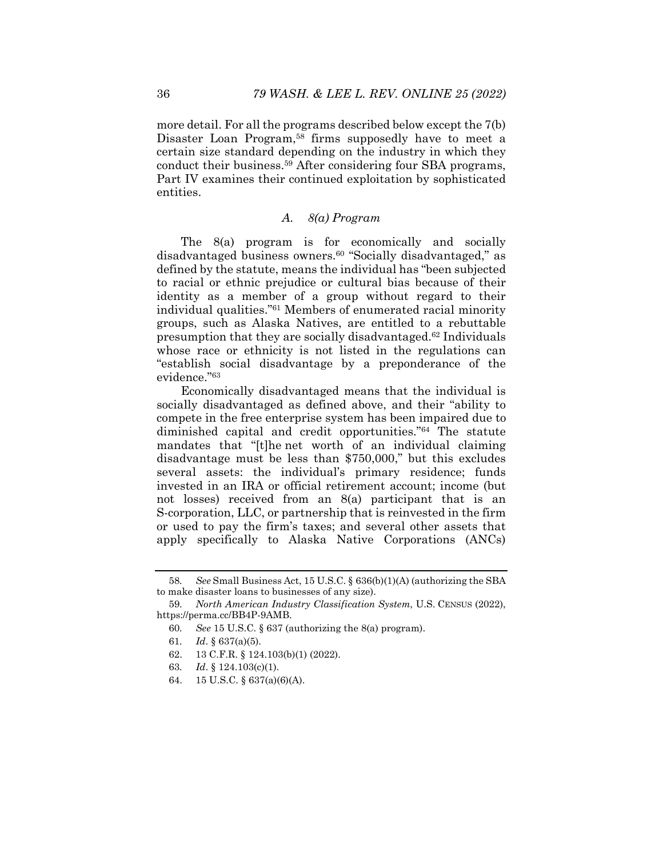more detail. For all the programs described below except the 7(b) Disaster Loan Program,58 firms supposedly have to meet a certain size standard depending on the industry in which they conduct their business.59 After considering four SBA programs, Part IV examines their continued exploitation by sophisticated entities.

### *A. 8(a) Program*

The 8(a) program is for economically and socially disadvantaged business owners.60 "Socially disadvantaged," as defined by the statute, means the individual has "been subjected to racial or ethnic prejudice or cultural bias because of their identity as a member of a group without regard to their individual qualities."61 Members of enumerated racial minority groups, such as Alaska Natives, are entitled to a rebuttable presumption that they are socially disadvantaged.62 Individuals whose race or ethnicity is not listed in the regulations can "establish social disadvantage by a preponderance of the evidence."63

Economically disadvantaged means that the individual is socially disadvantaged as defined above, and their "ability to compete in the free enterprise system has been impaired due to diminished capital and credit opportunities."64 The statute mandates that "[t]he net worth of an individual claiming disadvantage must be less than \$750,000," but this excludes several assets: the individual's primary residence; funds invested in an IRA or official retirement account; income (but not losses) received from an 8(a) participant that is an S-corporation, LLC, or partnership that is reinvested in the firm or used to pay the firm's taxes; and several other assets that apply specifically to Alaska Native Corporations (ANCs)

- 63*. Id*. § 124.103(c)(1).
- 64. 15 U.S.C. § 637(a)(6)(A).

<sup>58</sup>*. See* Small Business Act, 15 U.S.C. § 636(b)(1)(A) (authorizing the SBA to make disaster loans to businesses of any size).

<sup>59</sup>*. North American Industry Classification System*, U.S. CENSUS (2022), https://perma.cc/BB4P-9AMB.

<sup>60</sup>*. See* 15 U.S.C. § 637 (authorizing the 8(a) program).

<sup>61</sup>*. Id*. § 637(a)(5).

 <sup>62. 13</sup> C.F.R. § 124.103(b)(1) (2022).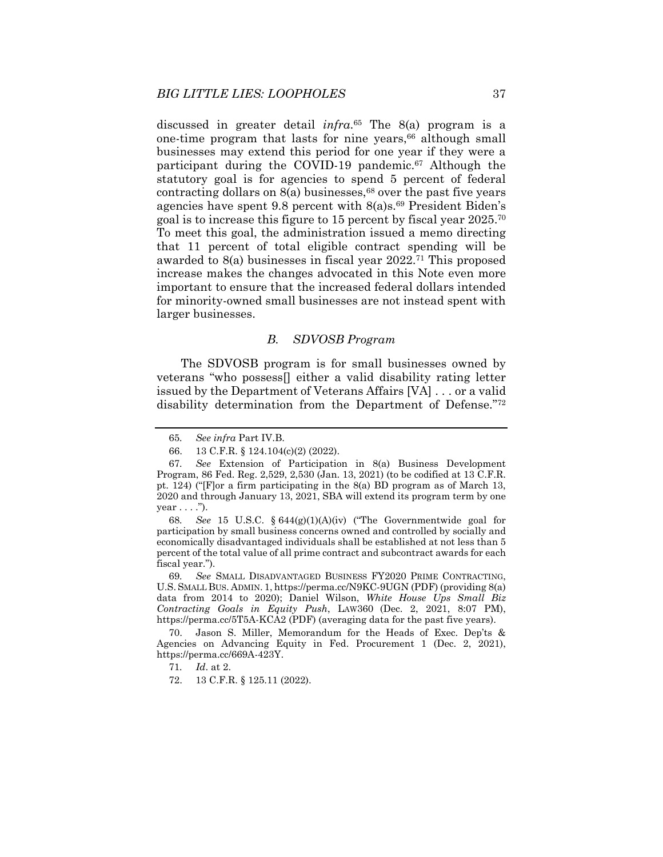discussed in greater detail *infra*.65 The 8(a) program is a one-time program that lasts for nine years,<sup>66</sup> although small businesses may extend this period for one year if they were a participant during the COVID-19 pandemic.67 Although the statutory goal is for agencies to spend 5 percent of federal contracting dollars on  $8(a)$  businesses,<sup>68</sup> over the past five years agencies have spent 9.8 percent with 8(a)s.<sup>69</sup> President Biden's goal is to increase this figure to 15 percent by fiscal year 2025.70 To meet this goal, the administration issued a memo directing that 11 percent of total eligible contract spending will be awarded to 8(a) businesses in fiscal year 2022.71 This proposed increase makes the changes advocated in this Note even more important to ensure that the increased federal dollars intended for minority-owned small businesses are not instead spent with larger businesses.

## *B. SDVOSB Program*

The SDVOSB program is for small businesses owned by veterans "who possess[] either a valid disability rating letter issued by the Department of Veterans Affairs [VA] . . . or a valid disability determination from the Department of Defense."72

69*. See* SMALL DISADVANTAGED BUSINESS FY2020 PRIME CONTRACTING, U.S. SMALL BUS. ADMIN. 1, https://perma.cc/N9KC-9UGN (PDF) (providing 8(a) data from 2014 to 2020); Daniel Wilson, *White House Ups Small Biz Contracting Goals in Equity Push*, LAW360 (Dec. 2, 2021, 8:07 PM), https://perma.cc/5T5A-KCA2 (PDF) (averaging data for the past five years).

 70. Jason S. Miller, Memorandum for the Heads of Exec. Dep'ts & Agencies on Advancing Equity in Fed. Procurement 1 (Dec. 2, 2021), https://perma.cc/669A-423Y.

71*. Id*. at 2.

<sup>65</sup>*. See infra* Part IV.B.

 <sup>66. 13</sup> C.F.R. § 124.104(c)(2) (2022).

<sup>67</sup>*. See* Extension of Participation in 8(a) Business Development Program, 86 Fed. Reg. 2,529, 2,530 (Jan. 13, 2021) (to be codified at 13 C.F.R. pt. 124) ("[F]or a firm participating in the 8(a) BD program as of March 13, 2020 and through January 13, 2021, SBA will extend its program term by one  $year \dots$ ").

<sup>68</sup>*. See* 15 U.S.C. § 644(g)(1)(A)(iv) ("The Governmentwide goal for participation by small business concerns owned and controlled by socially and economically disadvantaged individuals shall be established at not less than 5 percent of the total value of all prime contract and subcontract awards for each fiscal year.").

 <sup>72. 13</sup> C.F.R. § 125.11 (2022).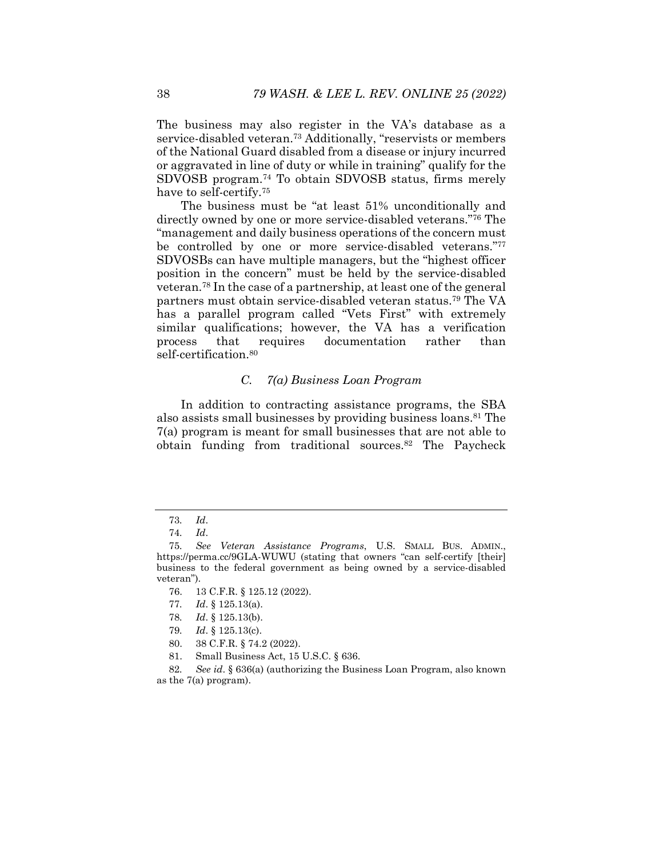The business may also register in the VA's database as a service-disabled veteran.73 Additionally, "reservists or members of the National Guard disabled from a disease or injury incurred or aggravated in line of duty or while in training" qualify for the SDVOSB program.74 To obtain SDVOSB status, firms merely have to self-certify.75

The business must be "at least 51% unconditionally and directly owned by one or more service-disabled veterans."76 The "management and daily business operations of the concern must be controlled by one or more service-disabled veterans."<sup>77</sup> SDVOSBs can have multiple managers, but the "highest officer position in the concern" must be held by the service-disabled veteran.78 In the case of a partnership, at least one of the general partners must obtain service-disabled veteran status.79 The VA has a parallel program called "Vets First" with extremely similar qualifications; however, the VA has a verification process that requires documentation rather than self-certification.<sup>80</sup>

#### *C. 7(a) Business Loan Program*

In addition to contracting assistance programs, the SBA also assists small businesses by providing business loans.81 The 7(a) program is meant for small businesses that are not able to obtain funding from traditional sources.82 The Paycheck

- 76. 13 C.F.R. § 125.12 (2022).
- 77*. Id*. § 125.13(a).
- 78*. Id*. § 125.13(b).
- 79*. Id*. § 125.13(c).
- 80. 38 C.F.R. § 74.2 (2022).
- 81. Small Business Act, 15 U.S.C. § 636.

82*. See id*. § 636(a) (authorizing the Business Loan Program, also known as the 7(a) program).

<sup>73</sup>*. Id*.

<sup>74</sup>*. Id*.

<sup>75</sup>*. See Veteran Assistance Programs*, U.S. SMALL BUS. ADMIN., https://perma.cc/9GLA-WUWU (stating that owners "can self-certify [their] business to the federal government as being owned by a service-disabled veteran").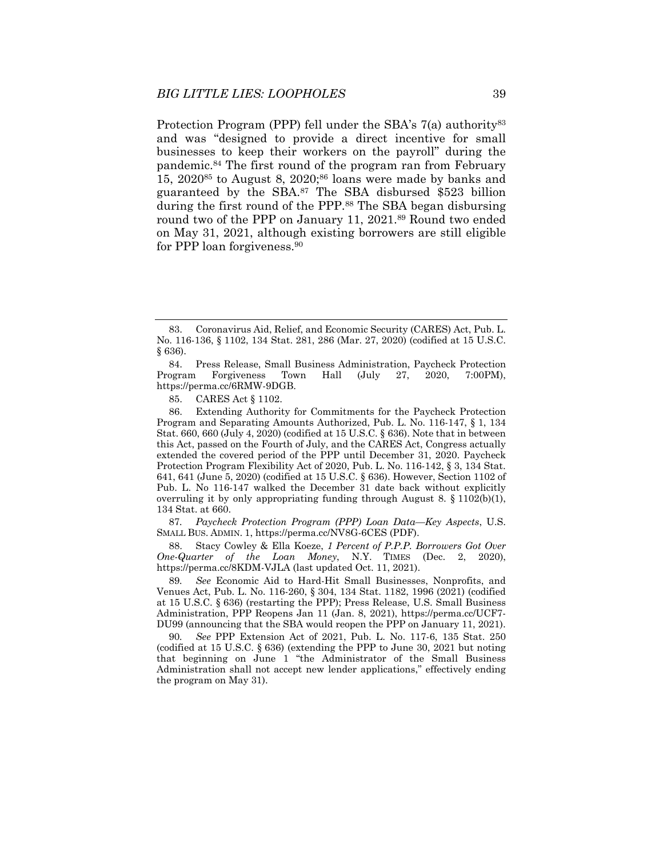Protection Program (PPP) fell under the SBA's 7(a) authority<sup>83</sup> and was "designed to provide a direct incentive for small businesses to keep their workers on the payroll" during the pandemic.84 The first round of the program ran from February  $15, 2020^{85}$  to August 8, 2020;<sup>86</sup> loans were made by banks and guaranteed by the SBA.87 The SBA disbursed \$523 billion during the first round of the PPP.<sup>88</sup> The SBA began disbursing round two of the PPP on January 11, 2021.<sup>89</sup> Round two ended on May 31, 2021, although existing borrowers are still eligible for PPP loan forgiveness.90

85. CARES Act § 1102.

87*. Paycheck Protection Program (PPP) Loan Data—Key Aspects*, U.S. SMALL BUS. ADMIN. 1, https://perma.cc/NV8G-6CES (PDF).

 88. Stacy Cowley & Ella Koeze, *1 Percent of P.P.P. Borrowers Got Over One-Quarter of the Loan Money*, N.Y. TIMES (Dec. 2, 2020), https://perma.cc/8KDM-VJLA (last updated Oct. 11, 2021).

89*. See* Economic Aid to Hard-Hit Small Businesses, Nonprofits, and Venues Act, Pub. L. No. 116-260, § 304, 134 Stat. 1182, 1996 (2021) (codified at 15 U.S.C. § 636) (restarting the PPP); Press Release, U.S. Small Business Administration, PPP Reopens Jan 11 (Jan. 8, 2021), https://perma.cc/UCF7- DU99 (announcing that the SBA would reopen the PPP on January 11, 2021).

90*. See* PPP Extension Act of 2021, Pub. L. No. 117-6, 135 Stat. 250 (codified at 15 U.S.C. § 636) (extending the PPP to June 30, 2021 but noting that beginning on June 1 "the Administrator of the Small Business Administration shall not accept new lender applications," effectively ending the program on May 31).

 <sup>83.</sup> Coronavirus Aid, Relief, and Economic Security (CARES) Act, Pub. L. No. 116-136, § 1102, 134 Stat. 281, 286 (Mar. 27, 2020) (codified at 15 U.S.C. § 636).

<sup>84.</sup> Press Release, Small Business Administration, Paycheck Protection<br>ogram Forgiveness Town Hall (July 27, 2020, 7:00PM), Program Forgiveness Town Hall (July 27, 2020, 7:00PM), https://perma.cc/6RMW-9DGB.

 <sup>86.</sup> Extending Authority for Commitments for the Paycheck Protection Program and Separating Amounts Authorized, Pub. L. No. 116-147, § 1, 134 Stat. 660, 660 (July 4, 2020) (codified at 15 U.S.C. § 636). Note that in between this Act, passed on the Fourth of July, and the CARES Act, Congress actually extended the covered period of the PPP until December 31, 2020. Paycheck Protection Program Flexibility Act of 2020, Pub. L. No. 116-142, § 3, 134 Stat. 641, 641 (June 5, 2020) (codified at 15 U.S.C. § 636). However, Section 1102 of Pub. L. No 116-147 walked the December 31 date back without explicitly overruling it by only appropriating funding through August 8. § 1102(b)(1), 134 Stat. at 660.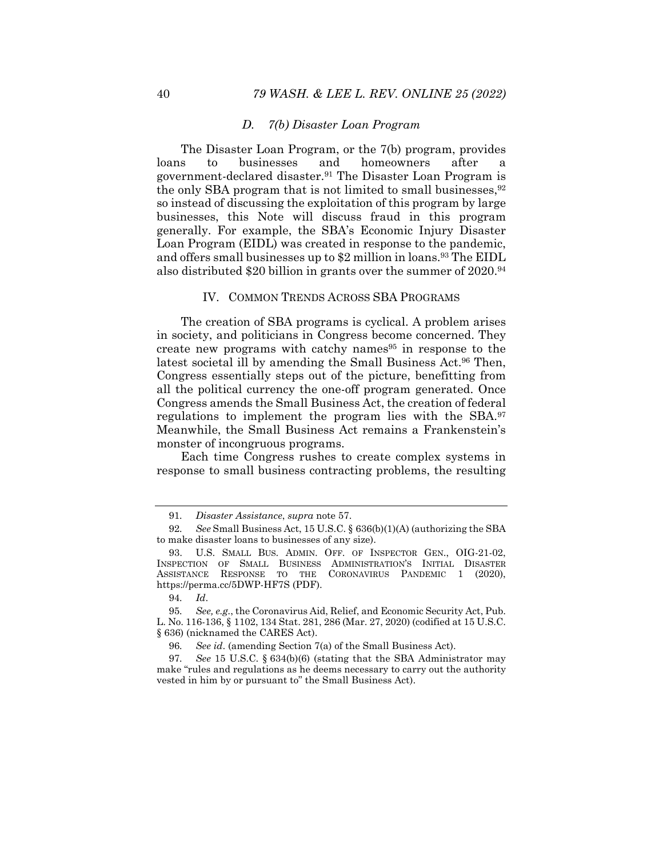#### *D. 7(b) Disaster Loan Program*

The Disaster Loan Program, or the 7(b) program, provides loans to businesses and homeowners after a government-declared disaster.91 The Disaster Loan Program is the only SBA program that is not limited to small businesses, 92 so instead of discussing the exploitation of this program by large businesses, this Note will discuss fraud in this program generally. For example, the SBA's Economic Injury Disaster Loan Program (EIDL) was created in response to the pandemic, and offers small businesses up to \$2 million in loans.93 The EIDL also distributed \$20 billion in grants over the summer of 2020.94

#### IV. COMMON TRENDS ACROSS SBA PROGRAMS

The creation of SBA programs is cyclical. A problem arises in society, and politicians in Congress become concerned. They create new programs with catchy names<sup>95</sup> in response to the latest societal ill by amending the Small Business Act.<sup>96</sup> Then, Congress essentially steps out of the picture, benefitting from all the political currency the one-off program generated. Once Congress amends the Small Business Act, the creation of federal regulations to implement the program lies with the SBA.97 Meanwhile, the Small Business Act remains a Frankenstein's monster of incongruous programs.

Each time Congress rushes to create complex systems in response to small business contracting problems, the resulting

<sup>91</sup>*. Disaster Assistance*, *supra* note 57.

<sup>92</sup>*. See* Small Business Act, 15 U.S.C. § 636(b)(1)(A) (authorizing the SBA to make disaster loans to businesses of any size).

 <sup>93.</sup> U.S. SMALL BUS. ADMIN. OFF. OF INSPECTOR GEN., OIG-21-02, INSPECTION OF SMALL BUSINESS ADMINISTRATION'S INITIAL DISASTER ASSISTANCE RESPONSE TO THE CORONAVIRUS PANDEMIC 1 (2020), https://perma.cc/5DWP-HF7S (PDF).

<sup>94</sup>*. Id*.

<sup>95</sup>*. See, e.g.*, the Coronavirus Aid, Relief, and Economic Security Act, Pub. L. No. 116-136, § 1102, 134 Stat. 281, 286 (Mar. 27, 2020) (codified at 15 U.S.C. § 636) (nicknamed the CARES Act).

<sup>96</sup>*. See id*. (amending Section 7(a) of the Small Business Act).

<sup>97</sup>*. See* 15 U.S.C. § 634(b)(6) (stating that the SBA Administrator may make "rules and regulations as he deems necessary to carry out the authority vested in him by or pursuant to" the Small Business Act).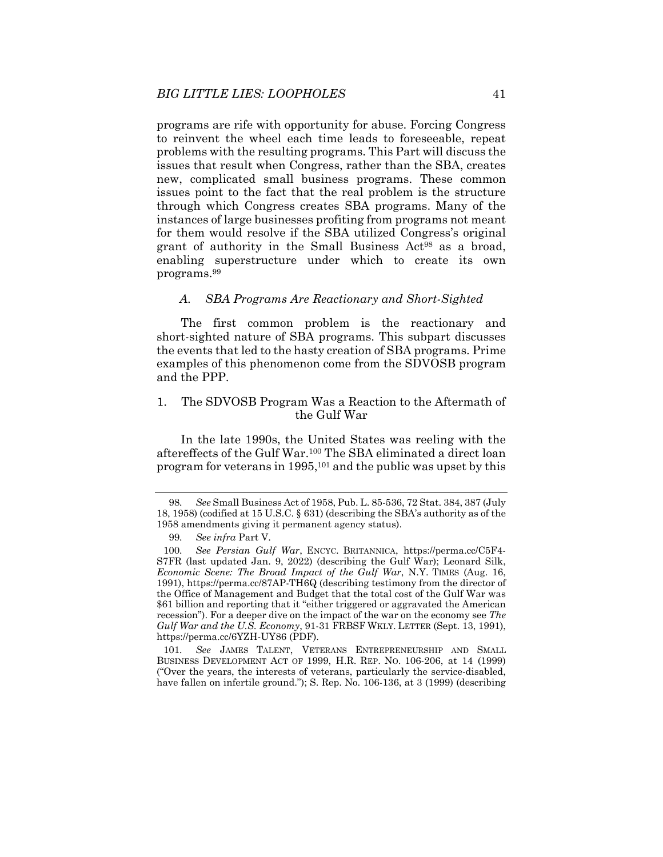programs are rife with opportunity for abuse. Forcing Congress to reinvent the wheel each time leads to foreseeable, repeat problems with the resulting programs. This Part will discuss the issues that result when Congress, rather than the SBA, creates new, complicated small business programs. These common issues point to the fact that the real problem is the structure through which Congress creates SBA programs. Many of the instances of large businesses profiting from programs not meant for them would resolve if the SBA utilized Congress's original grant of authority in the Small Business Act<sup>98</sup> as a broad, enabling superstructure under which to create its own programs.99

#### *A. SBA Programs Are Reactionary and Short-Sighted*

The first common problem is the reactionary and short-sighted nature of SBA programs. This subpart discusses the events that led to the hasty creation of SBA programs. Prime examples of this phenomenon come from the SDVOSB program and the PPP.

## 1. The SDVOSB Program Was a Reaction to the Aftermath of the Gulf War

In the late 1990s, the United States was reeling with the aftereffects of the Gulf War.100 The SBA eliminated a direct loan program for veterans in  $1995$ ,<sup>101</sup> and the public was upset by this

101*. See* JAMES TALENT, VETERANS ENTREPRENEURSHIP AND SMALL BUSINESS DEVELOPMENT ACT OF 1999, H.R. REP. NO. 106-206, at 14 (1999) ("Over the years, the interests of veterans, particularly the service-disabled, have fallen on infertile ground."); S. Rep. No. 106-136, at 3 (1999) (describing

<sup>98</sup>*. See* Small Business Act of 1958, Pub. L. 85-536, 72 Stat. 384, 387 (July 18, 1958) (codified at 15 U.S.C. § 631) (describing the SBA's authority as of the 1958 amendments giving it permanent agency status).

<sup>99</sup>*. See infra* Part V.

<sup>100</sup>*. See Persian Gulf War*, ENCYC. BRITANNICA, https://perma.cc/C5F4- S7FR (last updated Jan. 9, 2022) (describing the Gulf War); Leonard Silk, *Economic Scene: The Broad Impact of the Gulf War*, N.Y. TIMES (Aug. 16, 1991), https://perma.cc/87AP-TH6Q (describing testimony from the director of the Office of Management and Budget that the total cost of the Gulf War was \$61 billion and reporting that it "either triggered or aggravated the American recession"). For a deeper dive on the impact of the war on the economy see *The Gulf War and the U.S. Economy*, 91-31 FRBSF WKLY. LETTER (Sept. 13, 1991), https://perma.cc/6YZH-UY86 (PDF).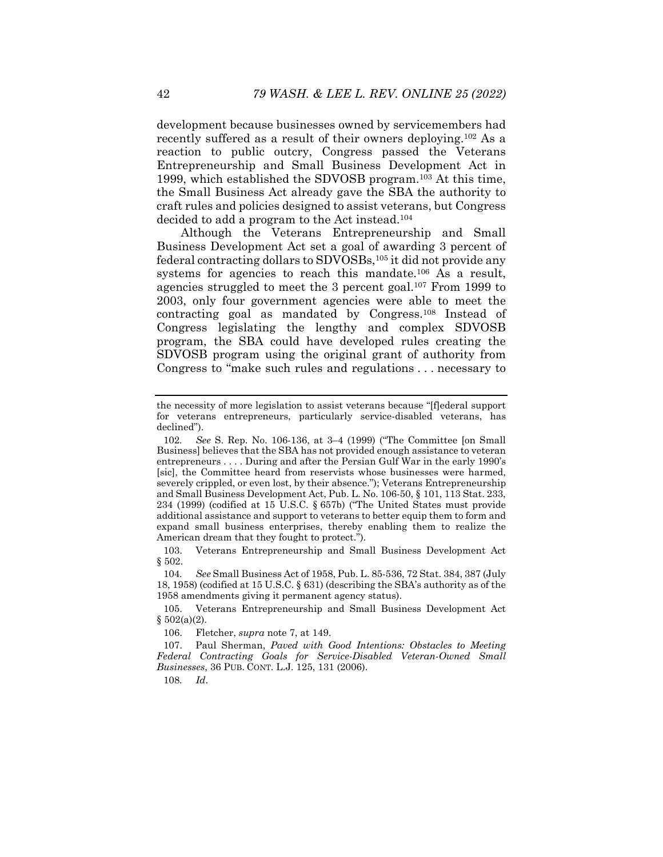development because businesses owned by servicemembers had recently suffered as a result of their owners deploying.102 As a reaction to public outcry, Congress passed the Veterans Entrepreneurship and Small Business Development Act in 1999, which established the SDVOSB program.103 At this time, the Small Business Act already gave the SBA the authority to craft rules and policies designed to assist veterans, but Congress decided to add a program to the Act instead.104

Although the Veterans Entrepreneurship and Small Business Development Act set a goal of awarding 3 percent of federal contracting dollars to SDVOSBs,105 it did not provide any systems for agencies to reach this mandate.<sup>106</sup> As a result, agencies struggled to meet the 3 percent goal.107 From 1999 to 2003, only four government agencies were able to meet the contracting goal as mandated by Congress.108 Instead of Congress legislating the lengthy and complex SDVOSB program, the SBA could have developed rules creating the SDVOSB program using the original grant of authority from Congress to "make such rules and regulations . . . necessary to

 103. Veterans Entrepreneurship and Small Business Development Act § 502.

104*. See* Small Business Act of 1958, Pub. L. 85-536, 72 Stat. 384, 387 (July 18, 1958) (codified at 15 U.S.C. § 631) (describing the SBA's authority as of the 1958 amendments giving it permanent agency status).

 105. Veterans Entrepreneurship and Small Business Development Act  $§ 502(a)(2).$ 

106. Fletcher, *supra* note 7, at 149.

 107. Paul Sherman, *Paved with Good Intentions: Obstacles to Meeting Federal Contracting Goals for Service-Disabled Veteran-Owned Small Businesses*, 36 PUB. CONT. L.J. 125, 131 (2006).

108*. Id*.

the necessity of more legislation to assist veterans because "[f]ederal support for veterans entrepreneurs, particularly service-disabled veterans, has declined").

<sup>102</sup>*. See* S. Rep. No. 106-136, at 3–4 (1999) ("The Committee [on Small Business] believes that the SBA has not provided enough assistance to veteran entrepreneurs . . . . During and after the Persian Gulf War in the early 1990's [sic], the Committee heard from reservists whose businesses were harmed, severely crippled, or even lost, by their absence."); Veterans Entrepreneurship and Small Business Development Act, Pub. L. No. 106-50, § 101, 113 Stat. 233, 234 (1999) (codified at 15 U.S.C. § 657b) ("The United States must provide additional assistance and support to veterans to better equip them to form and expand small business enterprises, thereby enabling them to realize the American dream that they fought to protect.").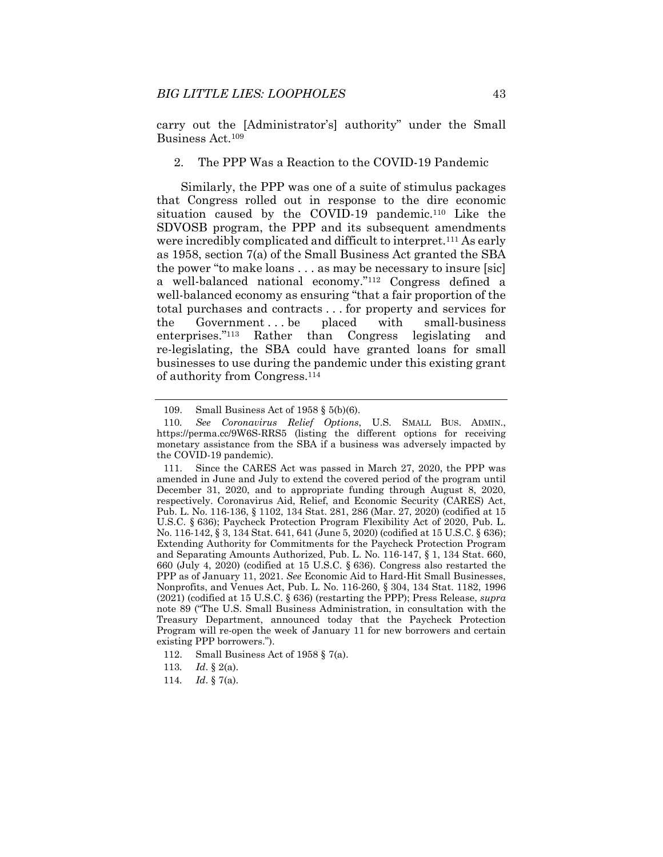carry out the [Administrator's] authority" under the Small Business Act.109

2. The PPP Was a Reaction to the COVID-19 Pandemic

Similarly, the PPP was one of a suite of stimulus packages that Congress rolled out in response to the dire economic situation caused by the COVID-19 pandemic.110 Like the SDVOSB program, the PPP and its subsequent amendments were incredibly complicated and difficult to interpret.<sup>111</sup> As early as 1958, section 7(a) of the Small Business Act granted the SBA the power "to make loans . . . as may be necessary to insure [sic] a well-balanced national economy."112 Congress defined a well-balanced economy as ensuring "that a fair proportion of the total purchases and contracts . . . for property and services for the Government ... be placed with small-business enterprises."113 Rather than Congress legislating and re-legislating, the SBA could have granted loans for small businesses to use during the pandemic under this existing grant of authority from Congress.114

 <sup>109.</sup> Small Business Act of 1958 § 5(b)(6).

<sup>110</sup>*. See Coronavirus Relief Options*, U.S. SMALL BUS. ADMIN., https://perma.cc/9W6S-RRS5 (listing the different options for receiving monetary assistance from the SBA if a business was adversely impacted by the COVID-19 pandemic).

 <sup>111.</sup> Since the CARES Act was passed in March 27, 2020, the PPP was amended in June and July to extend the covered period of the program until December 31, 2020, and to appropriate funding through August 8, 2020, respectively. Coronavirus Aid, Relief, and Economic Security (CARES) Act, Pub. L. No. 116-136, § 1102, 134 Stat. 281, 286 (Mar. 27, 2020) (codified at 15 U.S.C. § 636); Paycheck Protection Program Flexibility Act of 2020, Pub. L. No. 116-142, § 3, 134 Stat. 641, 641 (June 5, 2020) (codified at 15 U.S.C. § 636); Extending Authority for Commitments for the Paycheck Protection Program and Separating Amounts Authorized, Pub. L. No. 116-147, § 1, 134 Stat. 660, 660 (July 4, 2020) (codified at 15 U.S.C. § 636). Congress also restarted the PPP as of January 11, 2021. *See* Economic Aid to Hard-Hit Small Businesses, Nonprofits, and Venues Act, Pub. L. No. 116-260, § 304, 134 Stat. 1182, 1996 (2021) (codified at 15 U.S.C. § 636) (restarting the PPP); Press Release, *supra*  note 89 ("The U.S. Small Business Administration, in consultation with the Treasury Department, announced today that the Paycheck Protection Program will re-open the week of January 11 for new borrowers and certain existing PPP borrowers.").

 <sup>112.</sup> Small Business Act of 1958 § 7(a).

<sup>113</sup>*. Id*. § 2(a).

<sup>114</sup>*. Id*. § 7(a).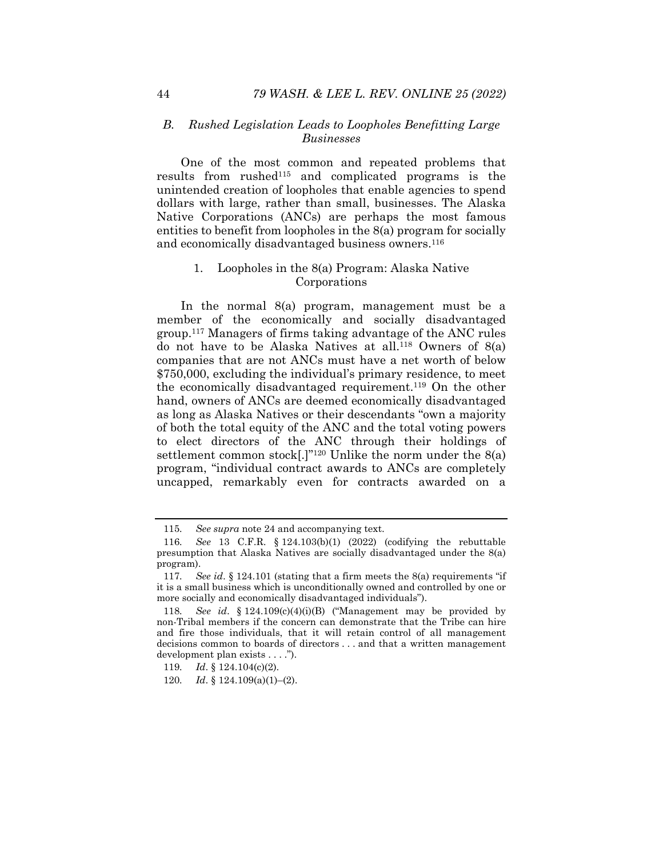#### *B. Rushed Legislation Leads to Loopholes Benefitting Large Businesses*

One of the most common and repeated problems that results from rushed115 and complicated programs is the unintended creation of loopholes that enable agencies to spend dollars with large, rather than small, businesses. The Alaska Native Corporations (ANCs) are perhaps the most famous entities to benefit from loopholes in the 8(a) program for socially and economically disadvantaged business owners.116

## 1. Loopholes in the 8(a) Program: Alaska Native Corporations

In the normal 8(a) program, management must be a member of the economically and socially disadvantaged group.117 Managers of firms taking advantage of the ANC rules do not have to be Alaska Natives at all.118 Owners of 8(a) companies that are not ANCs must have a net worth of below \$750,000, excluding the individual's primary residence, to meet the economically disadvantaged requirement.119 On the other hand, owners of ANCs are deemed economically disadvantaged as long as Alaska Natives or their descendants "own a majority of both the total equity of the ANC and the total voting powers to elect directors of the ANC through their holdings of settlement common stock[.]"120 Unlike the norm under the 8(a) program, "individual contract awards to ANCs are completely uncapped, remarkably even for contracts awarded on a

<sup>115</sup>*. See supra* note 24 and accompanying text.

<sup>116</sup>*. See* 13 C.F.R. § 124.103(b)(1) (2022) (codifying the rebuttable presumption that Alaska Natives are socially disadvantaged under the 8(a) program).

<sup>117</sup>*. See id*. § 124.101 (stating that a firm meets the 8(a) requirements "if it is a small business which is unconditionally owned and controlled by one or more socially and economically disadvantaged individuals").

<sup>118</sup>*. See id*. § 124.109(c)(4)(i)(B) ("Management may be provided by non-Tribal members if the concern can demonstrate that the Tribe can hire and fire those individuals, that it will retain control of all management decisions common to boards of directors . . . and that a written management development plan exists . . . .").

<sup>119</sup>*. Id*. § 124.104(c)(2).

<sup>120</sup>*. Id*. § 124.109(a)(1)–(2).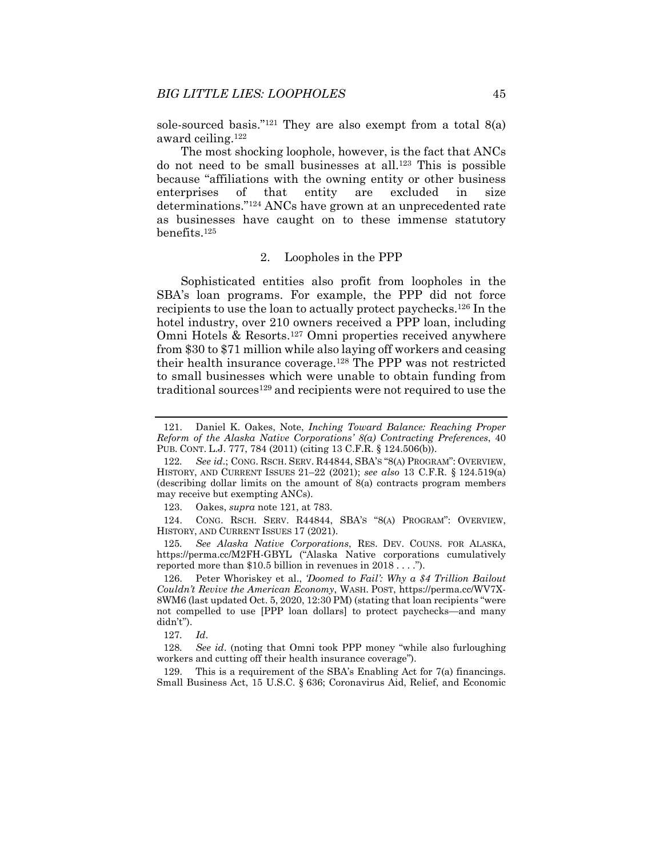sole-sourced basis."121 They are also exempt from a total 8(a) award ceiling.122

The most shocking loophole, however, is the fact that ANCs do not need to be small businesses at all.123 This is possible because "affiliations with the owning entity or other business enterprises of that entity are excluded in size determinations."124 ANCs have grown at an unprecedented rate as businesses have caught on to these immense statutory benefits.125

#### 2. Loopholes in the PPP

Sophisticated entities also profit from loopholes in the SBA's loan programs. For example, the PPP did not force recipients to use the loan to actually protect paychecks.126 In the hotel industry, over 210 owners received a PPP loan, including Omni Hotels & Resorts.127 Omni properties received anywhere from \$30 to \$71 million while also laying off workers and ceasing their health insurance coverage.128 The PPP was not restricted to small businesses which were unable to obtain funding from traditional sources<sup>129</sup> and recipients were not required to use the

127*. Id*.

 <sup>121.</sup> Daniel K. Oakes, Note, *Inching Toward Balance: Reaching Proper Reform of the Alaska Native Corporations' 8(a) Contracting Preferences*, 40 PUB. CONT. L.J. 777, 784 (2011) (citing 13 C.F.R. § 124.506(b)).

<sup>122</sup>*. See id*.; CONG. RSCH. SERV. R44844, SBA'S "8(A) PROGRAM": OVERVIEW, HISTORY, AND CURRENT ISSUES 21–22 (2021); *see also* 13 C.F.R. § 124.519(a) (describing dollar limits on the amount of 8(a) contracts program members may receive but exempting ANCs).

 <sup>123.</sup> Oakes, *supra* note 121, at 783.

 <sup>124.</sup> CONG. RSCH. SERV. R44844, SBA'S "8(A) PROGRAM": OVERVIEW, HISTORY, AND CURRENT ISSUES 17 (2021).

<sup>125</sup>*. See Alaska Native Corporations*, RES. DEV. COUNS. FOR ALASKA, https://perma.cc/M2FH-GBYL ("Alaska Native corporations cumulatively reported more than \$10.5 billion in revenues in 2018 . . . .").

 <sup>126.</sup> Peter Whoriskey et al., *'Doomed to Fail': Why a \$4 Trillion Bailout Couldn't Revive the American Economy*, WASH. POST, https://perma.cc/WV7X-8WM6 (last updated Oct. 5, 2020, 12:30 PM) (stating that loan recipients "were not compelled to use [PPP loan dollars] to protect paychecks—and many didn't").

<sup>128</sup>*. See id*. (noting that Omni took PPP money "while also furloughing workers and cutting off their health insurance coverage").

 <sup>129.</sup> This is a requirement of the SBA's Enabling Act for 7(a) financings. Small Business Act, 15 U.S.C. § 636; Coronavirus Aid, Relief, and Economic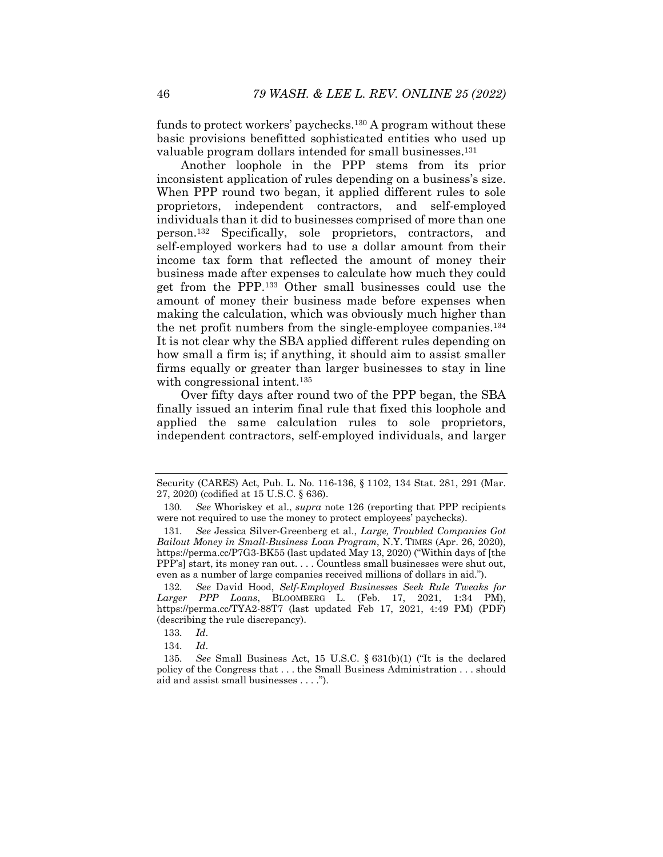funds to protect workers' paychecks.130 A program without these basic provisions benefitted sophisticated entities who used up valuable program dollars intended for small businesses.131

Another loophole in the PPP stems from its prior inconsistent application of rules depending on a business's size. When PPP round two began, it applied different rules to sole proprietors, independent contractors, and self-employed individuals than it did to businesses comprised of more than one person.132 Specifically, sole proprietors, contractors, and self-employed workers had to use a dollar amount from their income tax form that reflected the amount of money their business made after expenses to calculate how much they could get from the PPP.133 Other small businesses could use the amount of money their business made before expenses when making the calculation, which was obviously much higher than the net profit numbers from the single-employee companies.134 It is not clear why the SBA applied different rules depending on how small a firm is; if anything, it should aim to assist smaller firms equally or greater than larger businesses to stay in line with congressional intent.<sup>135</sup>

Over fifty days after round two of the PPP began, the SBA finally issued an interim final rule that fixed this loophole and applied the same calculation rules to sole proprietors, independent contractors, self-employed individuals, and larger

Security (CARES) Act, Pub. L. No. 116-136, § 1102, 134 Stat. 281, 291 (Mar. 27, 2020) (codified at 15 U.S.C. § 636).

<sup>130</sup>*. See* Whoriskey et al., *supra* note 126 (reporting that PPP recipients were not required to use the money to protect employees' paychecks).

<sup>131</sup>*. See* Jessica Silver-Greenberg et al., *Large, Troubled Companies Got Bailout Money in Small-Business Loan Program*, N.Y. TIMES (Apr. 26, 2020), https://perma.cc/P7G3-BK55 (last updated May 13, 2020) ("Within days of [the PPP's] start, its money ran out. . . . Countless small businesses were shut out, even as a number of large companies received millions of dollars in aid.").

<sup>132</sup>*. See* David Hood, *Self-Employed Businesses Seek Rule Tweaks for Larger PPP Loans*, BLOOMBERG L. (Feb. 17, 2021, 1:34 PM), https://perma.cc/TYA2-88T7 (last updated Feb 17, 2021, 4:49 PM) (PDF) (describing the rule discrepancy).

<sup>133</sup>*. Id*.

<sup>134</sup>*. Id*.

<sup>135</sup>*. See* Small Business Act, 15 U.S.C. § 631(b)(1) ("It is the declared policy of the Congress that . . . the Small Business Administration . . . should aid and assist small businesses . . . .").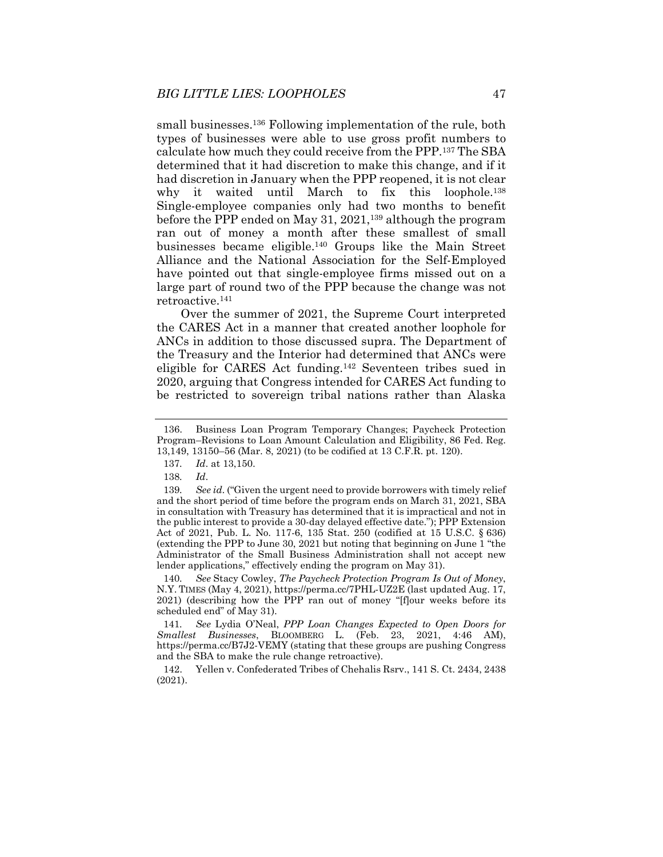small businesses.<sup>136</sup> Following implementation of the rule, both types of businesses were able to use gross profit numbers to calculate how much they could receive from the PPP.137 The SBA determined that it had discretion to make this change, and if it had discretion in January when the PPP reopened, it is not clear why it waited until March to fix this loophole.138 Single-employee companies only had two months to benefit before the PPP ended on May 31,  $2021$ ,  $139$  although the program ran out of money a month after these smallest of small businesses became eligible.140 Groups like the Main Street Alliance and the National Association for the Self-Employed have pointed out that single-employee firms missed out on a large part of round two of the PPP because the change was not retroactive.141

Over the summer of 2021, the Supreme Court interpreted the CARES Act in a manner that created another loophole for ANCs in addition to those discussed supra. The Department of the Treasury and the Interior had determined that ANCs were eligible for CARES Act funding.142 Seventeen tribes sued in 2020, arguing that Congress intended for CARES Act funding to be restricted to sovereign tribal nations rather than Alaska

140*. See* Stacy Cowley, *The Paycheck Protection Program Is Out of Money*, N.Y. TIMES (May 4, 2021), https://perma.cc/7PHL-UZ2E (last updated Aug. 17, 2021) (describing how the PPP ran out of money "[f]our weeks before its scheduled end" of May 31).

141*. See* Lydia O'Neal, *PPP Loan Changes Expected to Open Doors for Smallest Businesses*, BLOOMBERG L. (Feb. 23, 2021, 4:46 AM), https://perma.cc/B7J2-VEMY (stating that these groups are pushing Congress and the SBA to make the rule change retroactive).

 142. Yellen v. Confederated Tribes of Chehalis Rsrv., 141 S. Ct. 2434, 2438 (2021).

 <sup>136.</sup> Business Loan Program Temporary Changes; Paycheck Protection Program–Revisions to Loan Amount Calculation and Eligibility, 86 Fed. Reg. 13,149, 13150–56 (Mar. 8, 2021) (to be codified at 13 C.F.R. pt. 120).

<sup>137</sup>*. Id*. at 13,150.

<sup>138</sup>*. Id*.

<sup>139</sup>*. See id*. ("Given the urgent need to provide borrowers with timely relief and the short period of time before the program ends on March 31, 2021, SBA in consultation with Treasury has determined that it is impractical and not in the public interest to provide a 30-day delayed effective date."); PPP Extension Act of 2021, Pub. L. No. 117-6, 135 Stat. 250 (codified at 15 U.S.C. § 636) (extending the PPP to June 30, 2021 but noting that beginning on June 1 "the Administrator of the Small Business Administration shall not accept new lender applications," effectively ending the program on May 31).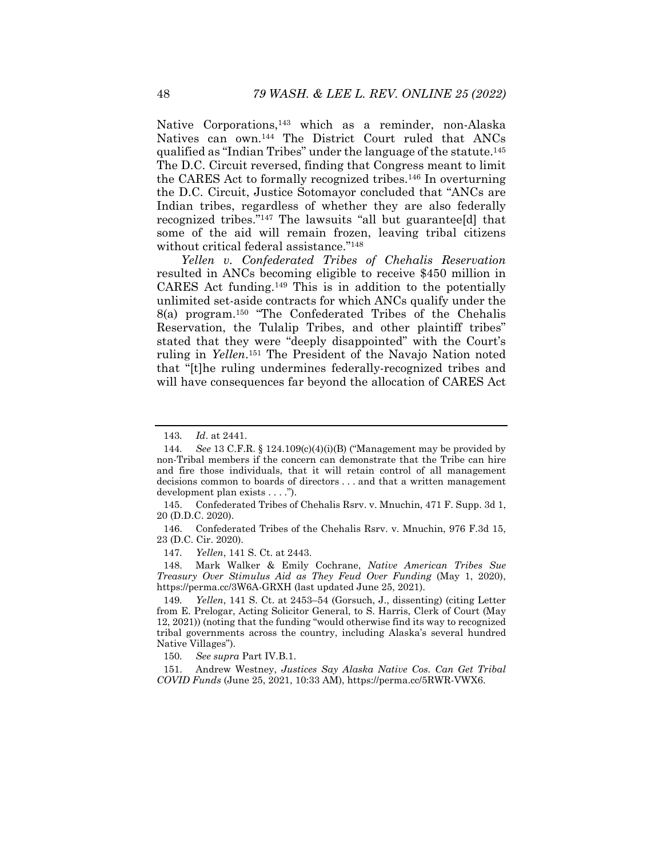Native Corporations,<sup>143</sup> which as a reminder, non-Alaska Natives can own.144 The District Court ruled that ANCs qualified as "Indian Tribes" under the language of the statute.145 The D.C. Circuit reversed, finding that Congress meant to limit the CARES Act to formally recognized tribes.146 In overturning the D.C. Circuit, Justice Sotomayor concluded that "ANCs are Indian tribes, regardless of whether they are also federally recognized tribes."147 The lawsuits "all but guarantee[d] that some of the aid will remain frozen, leaving tribal citizens without critical federal assistance."148

*Yellen v. Confederated Tribes of Chehalis Reservation*  resulted in ANCs becoming eligible to receive \$450 million in CARES Act funding.149 This is in addition to the potentially unlimited set-aside contracts for which ANCs qualify under the 8(a) program.150 "The Confederated Tribes of the Chehalis Reservation, the Tulalip Tribes, and other plaintiff tribes" stated that they were "deeply disappointed" with the Court's ruling in *Yellen*.151 The President of the Navajo Nation noted that "[t]he ruling undermines federally-recognized tribes and will have consequences far beyond the allocation of CARES Act

 146. Confederated Tribes of the Chehalis Rsrv. v. Mnuchin, 976 F.3d 15, 23 (D.C. Cir. 2020).

147*. Yellen*, 141 S. Ct. at 2443.

 148. Mark Walker & Emily Cochrane, *Native American Tribes Sue Treasury Over Stimulus Aid as They Feud Over Funding* (May 1, 2020), https://perma.cc/3W6A-GRXH (last updated June 25, 2021).

149*. Yellen*, 141 S. Ct. at 2453–54 (Gorsuch, J., dissenting) (citing Letter from E. Prelogar, Acting Solicitor General, to S. Harris, Clerk of Court (May 12, 2021)) (noting that the funding "would otherwise find its way to recognized tribal governments across the country, including Alaska's several hundred Native Villages").

150*. See supra* Part IV.B.1.

 151. Andrew Westney, *Justices Say Alaska Native Cos. Can Get Tribal COVID Funds* (June 25, 2021, 10:33 AM), https://perma.cc/5RWR-VWX6.

<sup>143</sup>*. Id*. at 2441.

<sup>144</sup>*. See* 13 C.F.R. § 124.109(c)(4)(i)(B) ("Management may be provided by non-Tribal members if the concern can demonstrate that the Tribe can hire and fire those individuals, that it will retain control of all management decisions common to boards of directors . . . and that a written management development plan exists . . . .").

 <sup>145.</sup> Confederated Tribes of Chehalis Rsrv. v. Mnuchin, 471 F. Supp. 3d 1, 20 (D.D.C. 2020).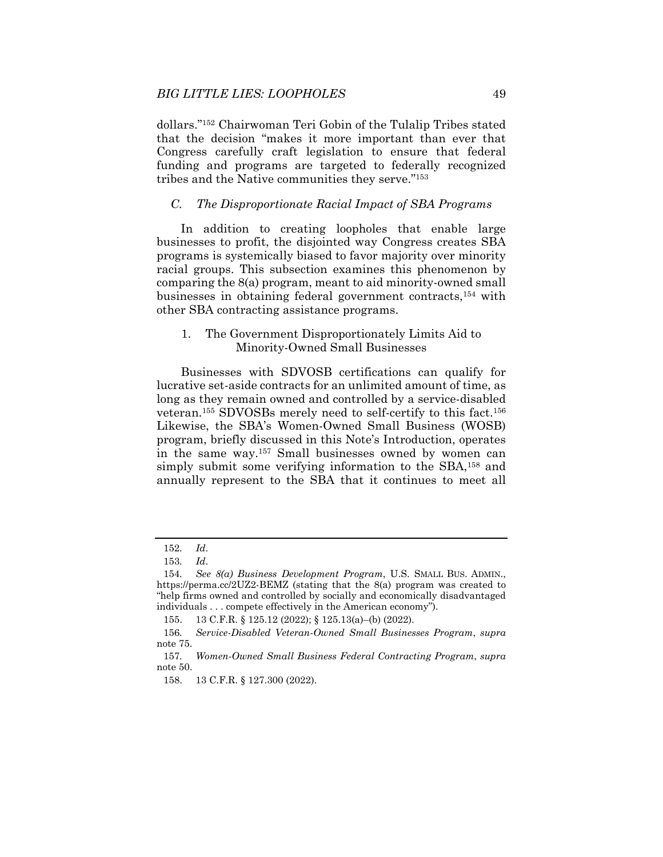dollars."152 Chairwoman Teri Gobin of the Tulalip Tribes stated that the decision "makes it more important than ever that Congress carefully craft legislation to ensure that federal funding and programs are targeted to federally recognized tribes and the Native communities they serve."153

## *C. The Disproportionate Racial Impact of SBA Programs*

In addition to creating loopholes that enable large businesses to profit, the disjointed way Congress creates SBA programs is systemically biased to favor majority over minority racial groups. This subsection examines this phenomenon by comparing the 8(a) program, meant to aid minority-owned small businesses in obtaining federal government contracts,154 with other SBA contracting assistance programs.

## 1. The Government Disproportionately Limits Aid to Minority-Owned Small Businesses

Businesses with SDVOSB certifications can qualify for lucrative set-aside contracts for an unlimited amount of time, as long as they remain owned and controlled by a service-disabled veteran.155 SDVOSBs merely need to self-certify to this fact.156 Likewise, the SBA's Women-Owned Small Business (WOSB) program, briefly discussed in this Note's Introduction, operates in the same way.157 Small businesses owned by women can simply submit some verifying information to the SBA,<sup>158</sup> and annually represent to the SBA that it continues to meet all

<sup>152</sup>*. Id*.

<sup>153</sup>*. Id*.

<sup>154</sup>*. See 8(a) Business Development Program*, U.S. SMALL BUS. ADMIN., https://perma.cc/2UZ2-BEMZ (stating that the 8(a) program was created to "help firms owned and controlled by socially and economically disadvantaged individuals . . . compete effectively in the American economy").

 <sup>155. 13</sup> C.F.R. § 125.12 (2022); § 125.13(a)–(b) (2022).

<sup>156</sup>*. Service-Disabled Veteran-Owned Small Businesses Program*, *supra*  note 75.

<sup>157</sup>*. Women-Owned Small Business Federal Contracting Program*, *supra*  note 50.

 <sup>158. 13</sup> C.F.R. § 127.300 (2022).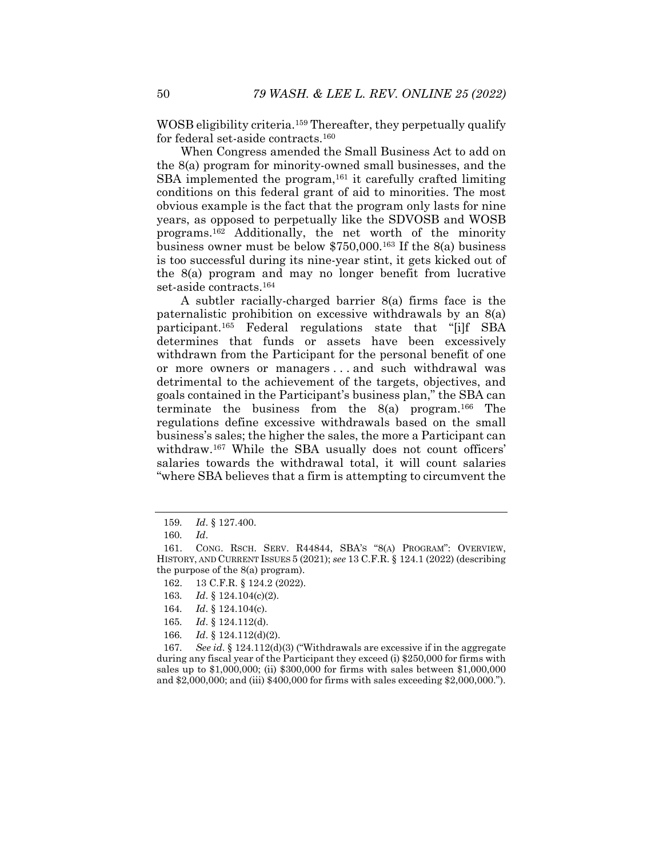WOSB eligibility criteria.159 Thereafter, they perpetually qualify for federal set-aside contracts.160

When Congress amended the Small Business Act to add on the 8(a) program for minority-owned small businesses, and the SBA implemented the program,  $161$  it carefully crafted limiting conditions on this federal grant of aid to minorities. The most obvious example is the fact that the program only lasts for nine years, as opposed to perpetually like the SDVOSB and WOSB programs.162 Additionally, the net worth of the minority business owner must be below \$750,000.163 If the 8(a) business is too successful during its nine-year stint, it gets kicked out of the 8(a) program and may no longer benefit from lucrative set-aside contracts.164

A subtler racially-charged barrier 8(a) firms face is the paternalistic prohibition on excessive withdrawals by an 8(a) participant.165 Federal regulations state that "[i]f SBA determines that funds or assets have been excessively withdrawn from the Participant for the personal benefit of one or more owners or managers . . . and such withdrawal was detrimental to the achievement of the targets, objectives, and goals contained in the Participant's business plan," the SBA can terminate the business from the  $8(a)$  program.<sup>166</sup> The regulations define excessive withdrawals based on the small business's sales; the higher the sales, the more a Participant can withdraw.167 While the SBA usually does not count officers' salaries towards the withdrawal total, it will count salaries "where SBA believes that a firm is attempting to circumvent the

- 164*. Id*. § 124.104(c).
- 165*. Id*. § 124.112(d).
- 166*. Id*. § 124.112(d)(2).

167*. See id*. § 124.112(d)(3) ("Withdrawals are excessive if in the aggregate during any fiscal year of the Participant they exceed (i) \$250,000 for firms with sales up to \$1,000,000; (ii) \$300,000 for firms with sales between \$1,000,000 and \$2,000,000; and (iii) \$400,000 for firms with sales exceeding \$2,000,000.").

<sup>159</sup>*. Id*. § 127.400.

<sup>160</sup>*. Id*.

 <sup>161.</sup> CONG. RSCH. SERV. R44844, SBA'S "8(A) PROGRAM": OVERVIEW, HISTORY, AND CURRENT ISSUES 5 (2021); *see* 13 C.F.R. § 124.1 (2022) (describing the purpose of the 8(a) program).

 <sup>162. 13</sup> C.F.R. § 124.2 (2022).

<sup>163</sup>*. Id*. § 124.104(c)(2).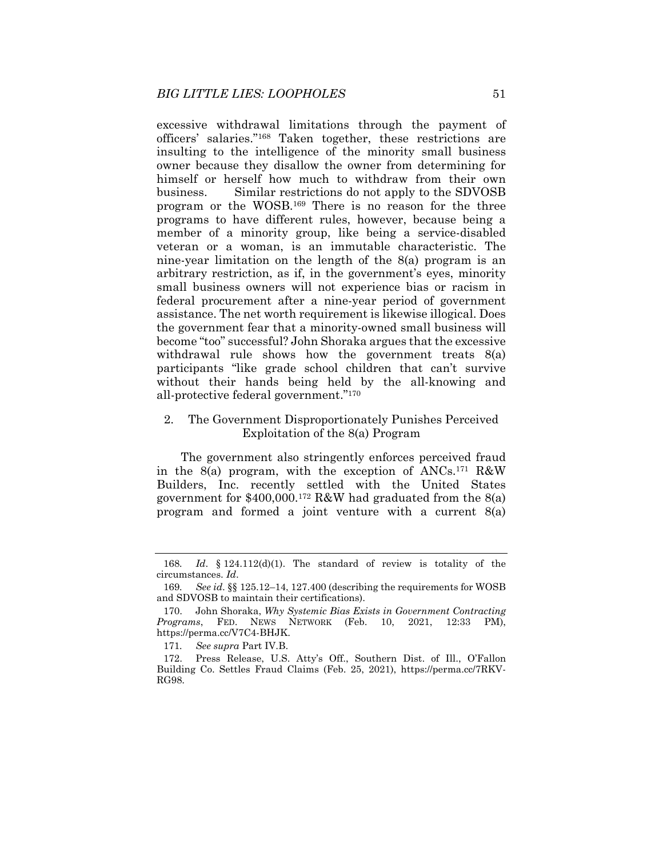excessive withdrawal limitations through the payment of officers' salaries."168 Taken together, these restrictions are insulting to the intelligence of the minority small business owner because they disallow the owner from determining for himself or herself how much to withdraw from their own business. Similar restrictions do not apply to the SDVOSB program or the WOSB.169 There is no reason for the three programs to have different rules, however, because being a member of a minority group, like being a service-disabled veteran or a woman, is an immutable characteristic. The nine-year limitation on the length of the 8(a) program is an arbitrary restriction, as if, in the government's eyes, minority small business owners will not experience bias or racism in federal procurement after a nine-year period of government assistance. The net worth requirement is likewise illogical. Does the government fear that a minority-owned small business will become "too" successful? John Shoraka argues that the excessive withdrawal rule shows how the government treats 8(a) participants "like grade school children that can't survive without their hands being held by the all-knowing and all-protective federal government."170

## 2. The Government Disproportionately Punishes Perceived Exploitation of the 8(a) Program

The government also stringently enforces perceived fraud in the  $8(a)$  program, with the exception of ANCs.<sup>171</sup> R&W Builders, Inc. recently settled with the United States government for  $$400,000$ .<sup>172</sup> R&W had graduated from the  $8(a)$ program and formed a joint venture with a current 8(a)

<sup>168</sup>*. Id*. § 124.112(d)(1). The standard of review is totality of the circumstances. *Id*.

<sup>169</sup>*. See id*. §§ 125.12–14, 127.400 (describing the requirements for WOSB and SDVOSB to maintain their certifications).

 <sup>170.</sup> John Shoraka, *Why Systemic Bias Exists in Government Contracting Programs*, FED. NEWS NETWORK (Feb. 10, 2021, 12:33 PM), https://perma.cc/V7C4-BHJK.

<sup>171</sup>*. See supra* Part IV.B.

 <sup>172.</sup> Press Release, U.S. Atty's Off., Southern Dist. of Ill., O'Fallon Building Co. Settles Fraud Claims (Feb. 25, 2021), https://perma.cc/7RKV-RG98.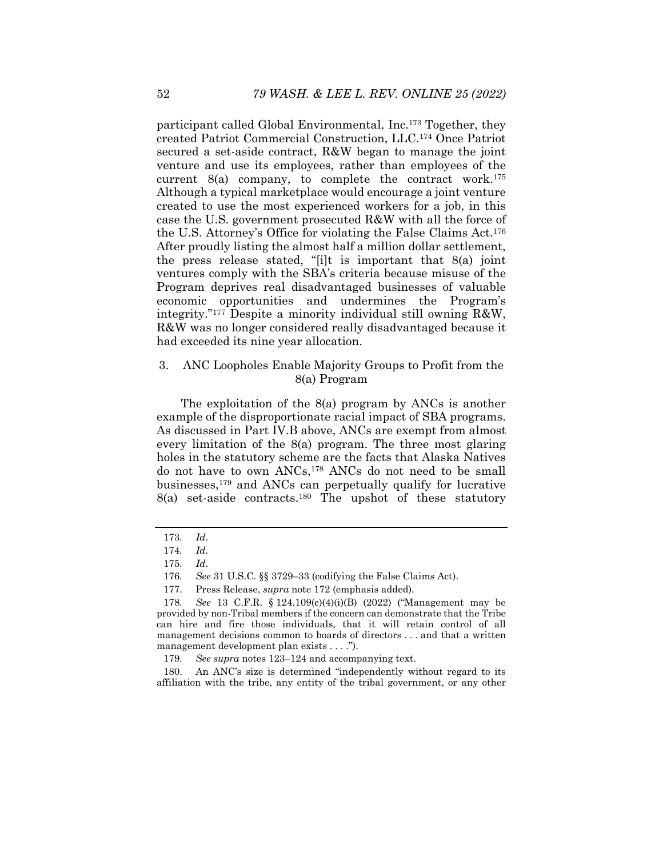participant called Global Environmental, Inc.173 Together, they created Patriot Commercial Construction, LLC.174 Once Patriot secured a set-aside contract, R&W began to manage the joint venture and use its employees, rather than employees of the current  $8(a)$  company, to complete the contract work.<sup>175</sup> Although a typical marketplace would encourage a joint venture created to use the most experienced workers for a job, in this case the U.S. government prosecuted R&W with all the force of the U.S. Attorney's Office for violating the False Claims Act.176 After proudly listing the almost half a million dollar settlement, the press release stated, "[i]t is important that 8(a) joint ventures comply with the SBA's criteria because misuse of the Program deprives real disadvantaged businesses of valuable economic opportunities and undermines the Program's integrity."177 Despite a minority individual still owning R&W, R&W was no longer considered really disadvantaged because it had exceeded its nine year allocation.

3. ANC Loopholes Enable Majority Groups to Profit from the 8(a) Program

The exploitation of the 8(a) program by ANCs is another example of the disproportionate racial impact of SBA programs. As discussed in Part IV.B above, ANCs are exempt from almost every limitation of the 8(a) program. The three most glaring holes in the statutory scheme are the facts that Alaska Natives do not have to own ANCs,178 ANCs do not need to be small businesses,179 and ANCs can perpetually qualify for lucrative 8(a) set-aside contracts.180 The upshot of these statutory

 180. An ANC's size is determined "independently without regard to its affiliation with the tribe, any entity of the tribal government, or any other

<sup>173</sup>*. Id*.

<sup>174</sup>*. Id*.

<sup>175</sup>*. Id*.

<sup>176</sup>*. See* 31 U.S.C. §§ 3729–33 (codifying the False Claims Act).

 <sup>177.</sup> Press Release, *supra* note 172 (emphasis added).

<sup>178</sup>*. See* 13 C.F.R. § 124.109(c)(4)(i)(B) (2022) ("Management may be provided by non-Tribal members if the concern can demonstrate that the Tribe can hire and fire those individuals, that it will retain control of all management decisions common to boards of directors . . . and that a written management development plan exists . . . .").

<sup>179</sup>*. See supra* notes 123–124 and accompanying text.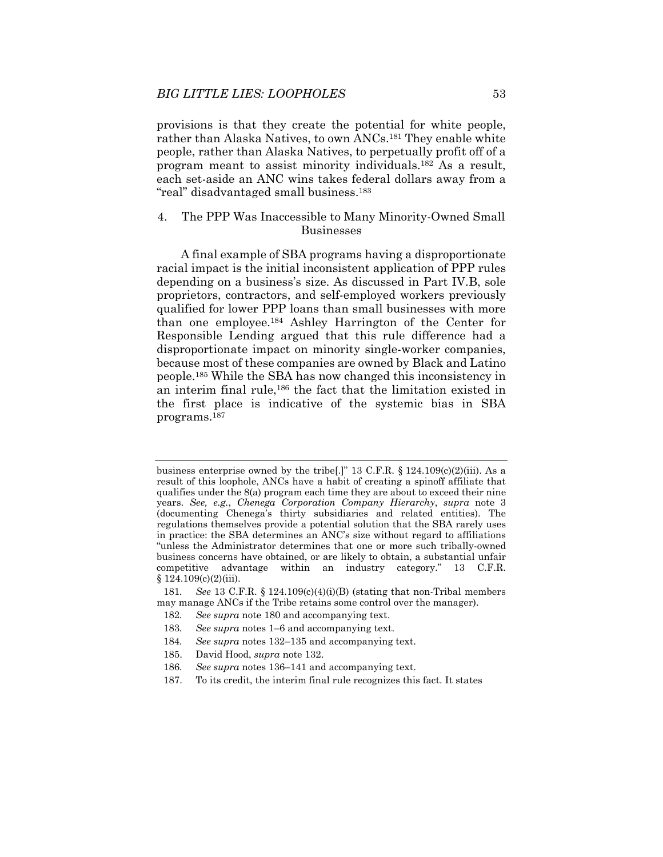provisions is that they create the potential for white people, rather than Alaska Natives, to own ANCs.181 They enable white people, rather than Alaska Natives, to perpetually profit off of a program meant to assist minority individuals.182 As a result, each set-aside an ANC wins takes federal dollars away from a "real" disadvantaged small business.183

## 4. The PPP Was Inaccessible to Many Minority-Owned Small Businesses

A final example of SBA programs having a disproportionate racial impact is the initial inconsistent application of PPP rules depending on a business's size. As discussed in Part IV.B, sole proprietors, contractors, and self-employed workers previously qualified for lower PPP loans than small businesses with more than one employee.184 Ashley Harrington of the Center for Responsible Lending argued that this rule difference had a disproportionate impact on minority single-worker companies, because most of these companies are owned by Black and Latino people.185 While the SBA has now changed this inconsistency in an interim final rule,186 the fact that the limitation existed in the first place is indicative of the systemic bias in SBA programs.187

185. David Hood, *supra* note 132.

187. To its credit, the interim final rule recognizes this fact. It states

business enterprise owned by the tribe[.]" 13 C.F.R. § 124.109(c)(2)(iii). As a result of this loophole, ANCs have a habit of creating a spinoff affiliate that qualifies under the 8(a) program each time they are about to exceed their nine years. *See, e.g.*, *Chenega Corporation Company Hierarchy*, *supra* note 3 (documenting Chenega's thirty subsidiaries and related entities). The regulations themselves provide a potential solution that the SBA rarely uses in practice: the SBA determines an ANC's size without regard to affiliations "unless the Administrator determines that one or more such tribally-owned business concerns have obtained, or are likely to obtain, a substantial unfair competitive advantage within an industry category." 13 C.F.R.  $§ 124.109(c)(2)(iii).$ 

<sup>181</sup>*. See* 13 C.F.R. § 124.109(c)(4)(i)(B) (stating that non-Tribal members may manage ANCs if the Tribe retains some control over the manager).

<sup>182</sup>*. See supra* note 180 and accompanying text.

<sup>183</sup>*. See supra* notes 1–6 and accompanying text.

<sup>184</sup>*. See supra* notes 132–135 and accompanying text.

<sup>186</sup>*. See supra* notes 136–141 and accompanying text.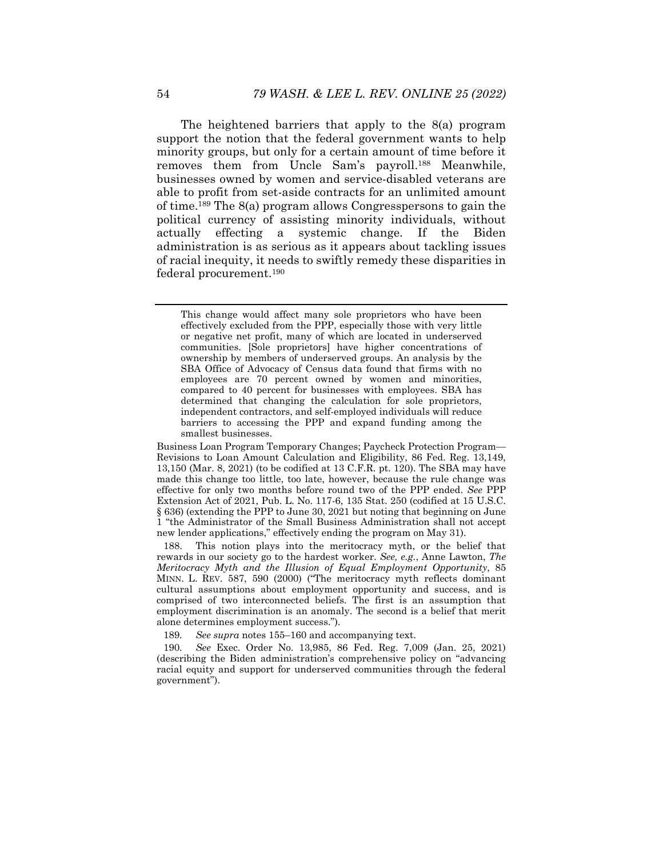The heightened barriers that apply to the 8(a) program support the notion that the federal government wants to help minority groups, but only for a certain amount of time before it removes them from Uncle Sam's payroll.188 Meanwhile, businesses owned by women and service-disabled veterans are able to profit from set-aside contracts for an unlimited amount of time.189 The 8(a) program allows Congresspersons to gain the political currency of assisting minority individuals, without actually effecting a systemic change. If the Biden administration is as serious as it appears about tackling issues of racial inequity, it needs to swiftly remedy these disparities in federal procurement.190

This change would affect many sole proprietors who have been effectively excluded from the PPP, especially those with very little or negative net profit, many of which are located in underserved communities. [Sole proprietors] have higher concentrations of ownership by members of underserved groups. An analysis by the SBA Office of Advocacy of Census data found that firms with no employees are 70 percent owned by women and minorities, compared to 40 percent for businesses with employees. SBA has determined that changing the calculation for sole proprietors, independent contractors, and self-employed individuals will reduce barriers to accessing the PPP and expand funding among the smallest businesses.

Business Loan Program Temporary Changes; Paycheck Protection Program— Revisions to Loan Amount Calculation and Eligibility, 86 Fed. Reg. 13,149, 13,150 (Mar. 8, 2021) (to be codified at 13 C.F.R. pt. 120). The SBA may have made this change too little, too late, however, because the rule change was effective for only two months before round two of the PPP ended. *See* PPP Extension Act of 2021, Pub. L. No. 117-6, 135 Stat. 250 (codified at 15 U.S.C. § 636) (extending the PPP to June 30, 2021 but noting that beginning on June 1 "the Administrator of the Small Business Administration shall not accept new lender applications," effectively ending the program on May 31).

 <sup>188.</sup> This notion plays into the meritocracy myth, or the belief that rewards in our society go to the hardest worker. *See, e.g.*, Anne Lawton, *The Meritocracy Myth and the Illusion of Equal Employment Opportunity*, 85 MINN. L. REV. 587, 590 (2000) ("The meritocracy myth reflects dominant cultural assumptions about employment opportunity and success, and is comprised of two interconnected beliefs. The first is an assumption that employment discrimination is an anomaly. The second is a belief that merit alone determines employment success.").

<sup>189</sup>*. See supra* notes 155–160 and accompanying text.

<sup>190</sup>*. See* Exec. Order No. 13,985, 86 Fed. Reg. 7,009 (Jan. 25, 2021) (describing the Biden administration's comprehensive policy on "advancing racial equity and support for underserved communities through the federal government").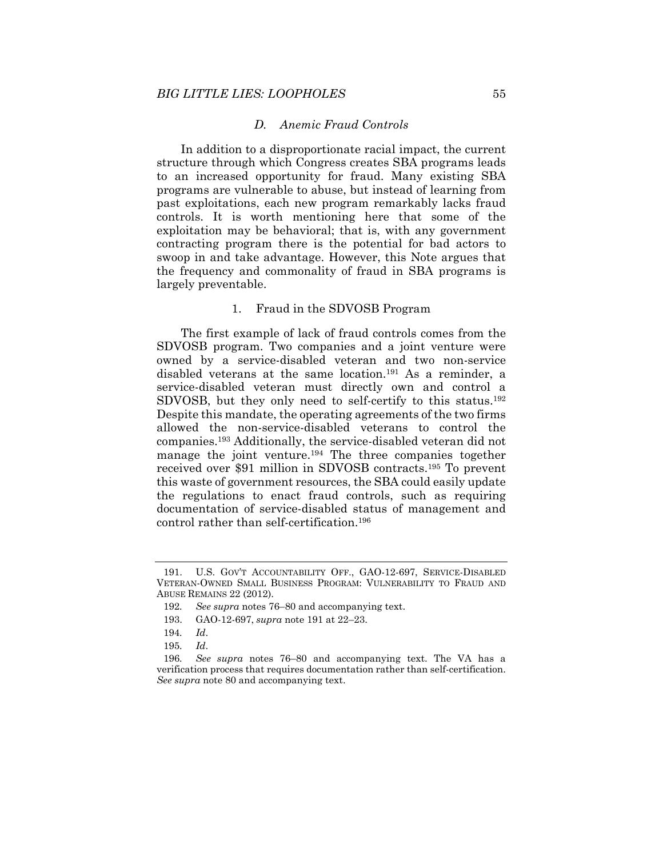## *D. Anemic Fraud Controls*

In addition to a disproportionate racial impact, the current structure through which Congress creates SBA programs leads to an increased opportunity for fraud. Many existing SBA programs are vulnerable to abuse, but instead of learning from past exploitations, each new program remarkably lacks fraud controls. It is worth mentioning here that some of the exploitation may be behavioral; that is, with any government contracting program there is the potential for bad actors to swoop in and take advantage. However, this Note argues that the frequency and commonality of fraud in SBA programs is largely preventable.

#### 1. Fraud in the SDVOSB Program

The first example of lack of fraud controls comes from the SDVOSB program. Two companies and a joint venture were owned by a service-disabled veteran and two non-service disabled veterans at the same location.191 As a reminder, a service-disabled veteran must directly own and control a SDVOSB, but they only need to self-certify to this status.192 Despite this mandate, the operating agreements of the two firms allowed the non-service-disabled veterans to control the companies.193 Additionally, the service-disabled veteran did not manage the joint venture.194 The three companies together received over \$91 million in SDVOSB contracts.195 To prevent this waste of government resources, the SBA could easily update the regulations to enact fraud controls, such as requiring documentation of service-disabled status of management and control rather than self-certification.196

 <sup>191.</sup> U.S. GOV'T ACCOUNTABILITY OFF., GAO-12-697, SERVICE-DISABLED VETERAN-OWNED SMALL BUSINESS PROGRAM: VULNERABILITY TO FRAUD AND ABUSE REMAINS 22 (2012).

<sup>192</sup>*. See supra* notes 76–80 and accompanying text.

 <sup>193.</sup> GAO-12-697, *supra* note 191 at 22–23.

<sup>194</sup>*. Id*.

<sup>195</sup>*. Id*.

<sup>196</sup>*. See supra* notes 76–80 and accompanying text. The VA has a verification process that requires documentation rather than self-certification. *See supra* note 80 and accompanying text.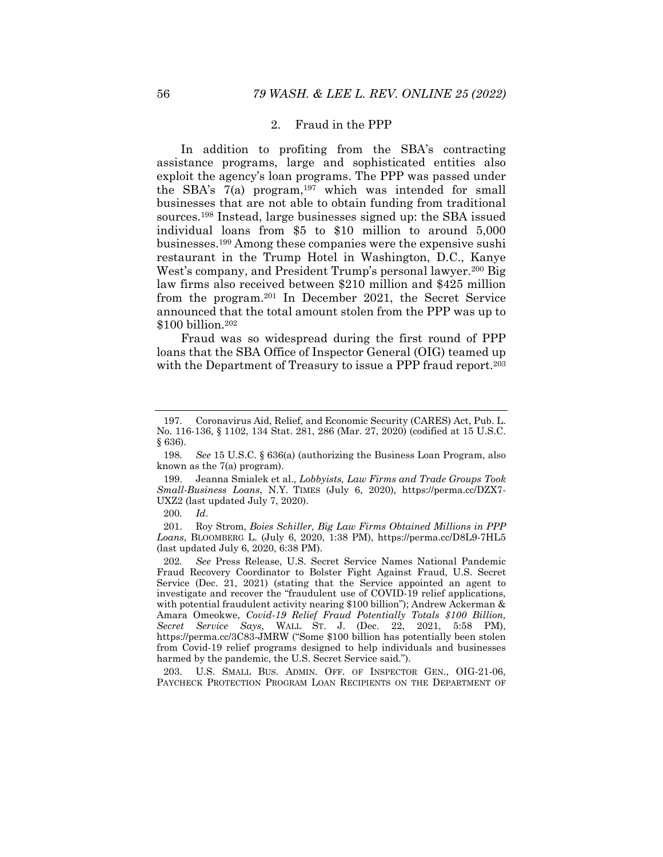## 2. Fraud in the PPP

In addition to profiting from the SBA's contracting assistance programs, large and sophisticated entities also exploit the agency's loan programs. The PPP was passed under the SBA's  $7(a)$  program,<sup>197</sup> which was intended for small businesses that are not able to obtain funding from traditional sources.198 Instead, large businesses signed up: the SBA issued individual loans from \$5 to \$10 million to around 5,000 businesses.199 Among these companies were the expensive sushi restaurant in the Trump Hotel in Washington, D.C., Kanye West's company, and President Trump's personal lawyer.<sup>200</sup> Big law firms also received between \$210 million and \$425 million from the program.201 In December 2021, the Secret Service announced that the total amount stolen from the PPP was up to \$100 billion.202

Fraud was so widespread during the first round of PPP loans that the SBA Office of Inspector General (OIG) teamed up with the Department of Treasury to issue a PPP fraud report.<sup>203</sup>

 201. Roy Strom, *Boies Schiller, Big Law Firms Obtained Millions in PPP Loans*, BLOOMBERG L. (July 6, 2020, 1:38 PM), https://perma.cc/D8L9-7HL5 (last updated July 6, 2020, 6:38 PM).

 203. U.S. SMALL BUS. ADMIN. OFF. OF INSPECTOR GEN., OIG-21-06, PAYCHECK PROTECTION PROGRAM LOAN RECIPIENTS ON THE DEPARTMENT OF

 <sup>197.</sup> Coronavirus Aid, Relief, and Economic Security (CARES) Act, Pub. L. No. 116-136, § 1102, 134 Stat. 281, 286 (Mar. 27, 2020) (codified at 15 U.S.C. § 636).

<sup>198</sup>*. See* 15 U.S.C. § 636(a) (authorizing the Business Loan Program, also known as the 7(a) program).

 <sup>199.</sup> Jeanna Smialek et al., *Lobbyists, Law Firms and Trade Groups Took Small-Business Loans*, N.Y. TIMES (July 6, 2020), https://perma.cc/DZX7- UXZ2 (last updated July 7, 2020).

<sup>200</sup>*. Id*.

<sup>202</sup>*. See* Press Release, U.S. Secret Service Names National Pandemic Fraud Recovery Coordinator to Bolster Fight Against Fraud, U.S. Secret Service (Dec. 21, 2021) (stating that the Service appointed an agent to investigate and recover the "fraudulent use of COVID-19 relief applications, with potential fraudulent activity nearing \$100 billion"); Andrew Ackerman & Amara Omeokwe, *Covid-19 Relief Fraud Potentially Totals \$100 Billion, Secret Service Says*, WALL ST. J. (Dec. 22, 2021, 5:58 PM), https://perma.cc/3C83-JMRW ("Some \$100 billion has potentially been stolen from Covid-19 relief programs designed to help individuals and businesses harmed by the pandemic, the U.S. Secret Service said.").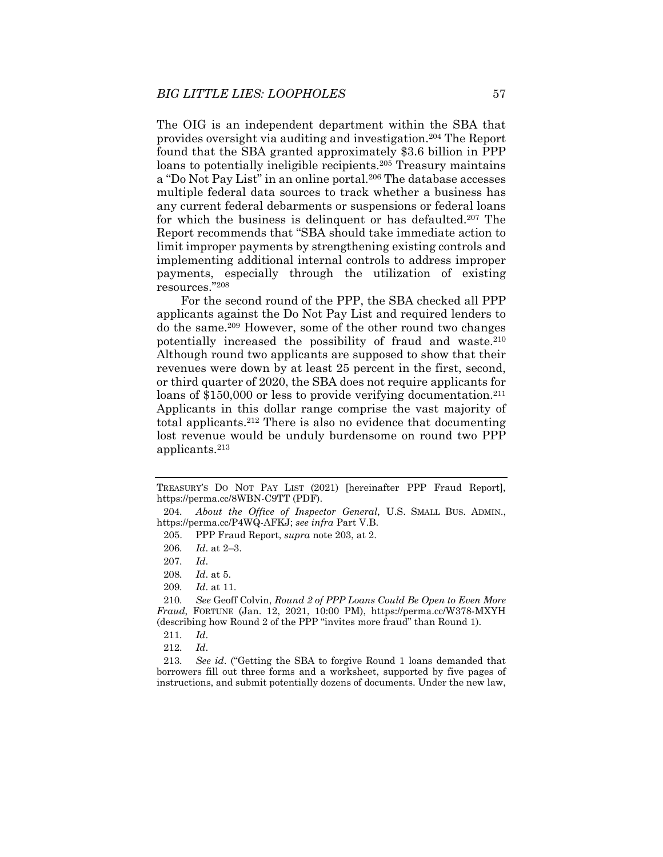The OIG is an independent department within the SBA that provides oversight via auditing and investigation.204 The Report found that the SBA granted approximately \$3.6 billion in PPP loans to potentially ineligible recipients.205 Treasury maintains a "Do Not Pay List" in an online portal.206 The database accesses multiple federal data sources to track whether a business has any current federal debarments or suspensions or federal loans for which the business is delinquent or has defaulted.207 The Report recommends that "SBA should take immediate action to limit improper payments by strengthening existing controls and implementing additional internal controls to address improper payments, especially through the utilization of existing resources."208

For the second round of the PPP, the SBA checked all PPP applicants against the Do Not Pay List and required lenders to do the same.209 However, some of the other round two changes potentially increased the possibility of fraud and waste.210 Although round two applicants are supposed to show that their revenues were down by at least 25 percent in the first, second, or third quarter of 2020, the SBA does not require applicants for loans of \$150,000 or less to provide verifying documentation.<sup>211</sup> Applicants in this dollar range comprise the vast majority of total applicants.212 There is also no evidence that documenting lost revenue would be unduly burdensome on round two PPP applicants.213

TREASURY'S DO NOT PAY LIST (2021) [hereinafter PPP Fraud Report], https://perma.cc/8WBN-C9TT (PDF).

<sup>204</sup>*. About the Office of Inspector General*, U.S. SMALL BUS. ADMIN., https://perma.cc/P4WQ-AFKJ; *see infra* Part V.B.

 <sup>205.</sup> PPP Fraud Report, *supra* note 203, at 2.

<sup>206</sup>*. Id*. at 2–3.

<sup>207</sup>*. Id*.

<sup>208</sup>*. Id*. at 5.

<sup>209</sup>*. Id*. at 11.

<sup>210</sup>*. See* Geoff Colvin, *Round 2 of PPP Loans Could Be Open to Even More Fraud*, FORTUNE (Jan. 12, 2021, 10:00 PM), https://perma.cc/W378-MXYH (describing how Round 2 of the PPP "invites more fraud" than Round 1).

<sup>211</sup>*. Id*.

<sup>212</sup>*. Id*.

<sup>213</sup>*. See id*. ("Getting the SBA to forgive Round 1 loans demanded that borrowers fill out three forms and a worksheet, supported by five pages of instructions, and submit potentially dozens of documents. Under the new law,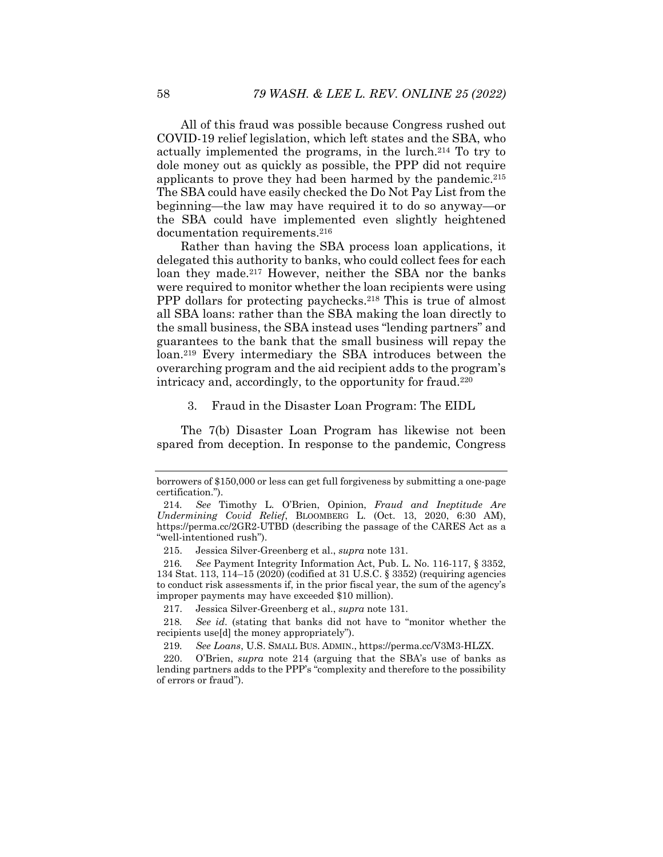All of this fraud was possible because Congress rushed out COVID-19 relief legislation, which left states and the SBA, who actually implemented the programs, in the lurch.214 To try to dole money out as quickly as possible, the PPP did not require applicants to prove they had been harmed by the pandemic.215 The SBA could have easily checked the Do Not Pay List from the beginning—the law may have required it to do so anyway—or the SBA could have implemented even slightly heightened documentation requirements.216

Rather than having the SBA process loan applications, it delegated this authority to banks, who could collect fees for each loan they made.217 However, neither the SBA nor the banks were required to monitor whether the loan recipients were using PPP dollars for protecting paychecks.<sup>218</sup> This is true of almost all SBA loans: rather than the SBA making the loan directly to the small business, the SBA instead uses "lending partners" and guarantees to the bank that the small business will repay the loan.219 Every intermediary the SBA introduces between the overarching program and the aid recipient adds to the program's intricacy and, accordingly, to the opportunity for fraud.220

3. Fraud in the Disaster Loan Program: The EIDL

The 7(b) Disaster Loan Program has likewise not been spared from deception. In response to the pandemic, Congress

216*. See* Payment Integrity Information Act, Pub. L. No. 116-117, § 3352, 134 Stat. 113, 114–15 (2020) (codified at 31 U.S.C. § 3352) (requiring agencies to conduct risk assessments if, in the prior fiscal year, the sum of the agency's improper payments may have exceeded \$10 million).

217. Jessica Silver-Greenberg et al., *supra* note 131.

218*. See id*. (stating that banks did not have to "monitor whether the recipients use[d] the money appropriately").

219*. See Loans*, U.S. SMALL BUS. ADMIN., https://perma.cc/V3M3-HLZX.

 220. O'Brien, *supra* note 214 (arguing that the SBA's use of banks as lending partners adds to the PPP's "complexity and therefore to the possibility of errors or fraud").

borrowers of \$150,000 or less can get full forgiveness by submitting a one-page certification.").

<sup>214</sup>*. See* Timothy L. O'Brien, Opinion, *Fraud and Ineptitude Are Undermining Covid Relief*, BLOOMBERG L. (Oct. 13, 2020, 6:30 AM), https://perma.cc/2GR2-UTBD (describing the passage of the CARES Act as a 'well-intentioned rush").

 <sup>215.</sup> Jessica Silver-Greenberg et al., *supra* note 131.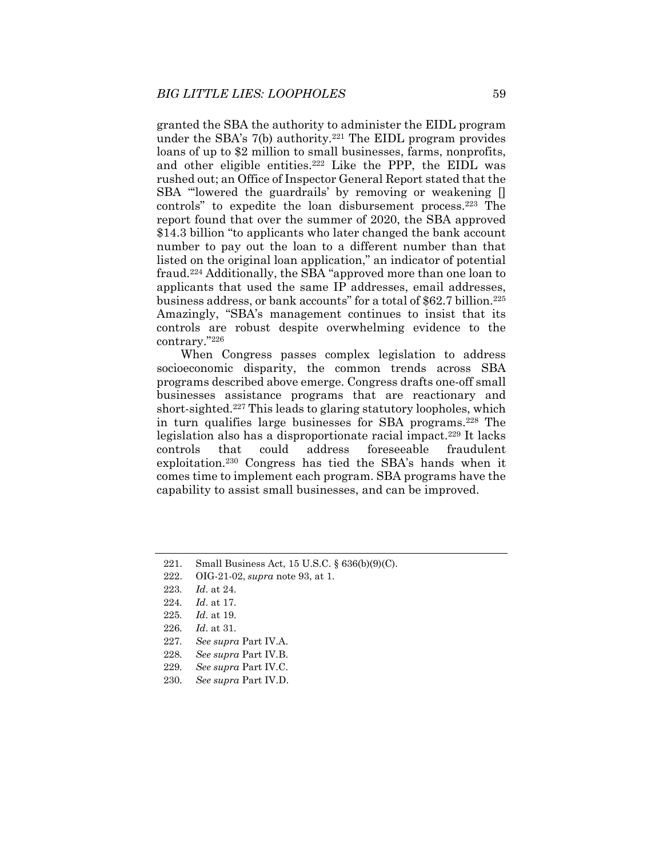granted the SBA the authority to administer the EIDL program under the SBA's  $7(b)$  authority.<sup>221</sup> The EIDL program provides loans of up to \$2 million to small businesses, farms, nonprofits, and other eligible entities.<sup>222</sup> Like the PPP, the EIDL was rushed out; an Office of Inspector General Report stated that the SBA "'lowered the guardrails' by removing or weakening [] controls" to expedite the loan disbursement process.223 The report found that over the summer of 2020, the SBA approved \$14.3 billion "to applicants who later changed the bank account number to pay out the loan to a different number than that listed on the original loan application," an indicator of potential fraud.<sup>224</sup> Additionally, the SBA "approved more than one loan to applicants that used the same IP addresses, email addresses, business address, or bank accounts" for a total of \$62.7 billion.225 Amazingly, "SBA's management continues to insist that its controls are robust despite overwhelming evidence to the contrary."226

When Congress passes complex legislation to address socioeconomic disparity, the common trends across SBA programs described above emerge. Congress drafts one-off small businesses assistance programs that are reactionary and short-sighted.227 This leads to glaring statutory loopholes, which in turn qualifies large businesses for SBA programs.228 The legislation also has a disproportionate racial impact.229 It lacks controls that could address foreseeable fraudulent exploitation.230 Congress has tied the SBA's hands when it comes time to implement each program. SBA programs have the capability to assist small businesses, and can be improved.

222. OIG-21-02, *supra* note 93, at 1.

 <sup>221.</sup> Small Business Act, 15 U.S.C. § 636(b)(9)(C).

<sup>223</sup>*. Id*. at 24.

<sup>224</sup>*. Id*. at 17.

<sup>225</sup>*. Id*. at 19.

<sup>226</sup>*. Id*. at 31.

<sup>227</sup>*. See supra* Part IV.A.

<sup>228</sup>*. See supra* Part IV.B.

<sup>229</sup>*. See supra* Part IV.C.

<sup>230</sup>*. See supra* Part IV.D.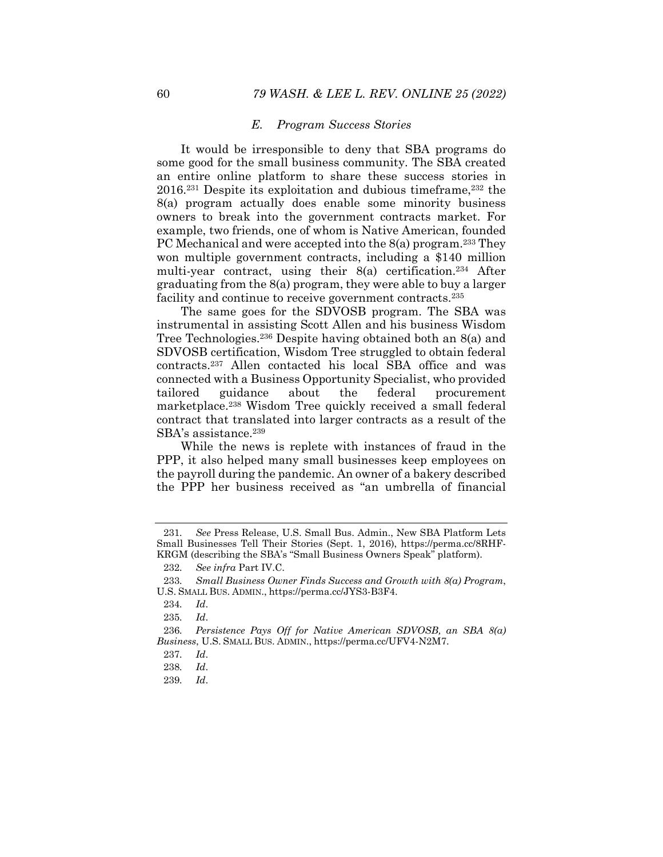#### *E. Program Success Stories*

It would be irresponsible to deny that SBA programs do some good for the small business community. The SBA created an entire online platform to share these success stories in 2016.231 Despite its exploitation and dubious timeframe,232 the 8(a) program actually does enable some minority business owners to break into the government contracts market. For example, two friends, one of whom is Native American, founded PC Mechanical and were accepted into the 8(a) program.<sup>233</sup> They won multiple government contracts, including a \$140 million multi-year contract, using their  $8(a)$  certification.<sup>234</sup> After graduating from the 8(a) program, they were able to buy a larger facility and continue to receive government contracts.<sup>235</sup>

The same goes for the SDVOSB program. The SBA was instrumental in assisting Scott Allen and his business Wisdom Tree Technologies.236 Despite having obtained both an 8(a) and SDVOSB certification, Wisdom Tree struggled to obtain federal contracts.237 Allen contacted his local SBA office and was connected with a Business Opportunity Specialist, who provided tailored guidance about the federal procurement marketplace.238 Wisdom Tree quickly received a small federal contract that translated into larger contracts as a result of the SBA's assistance.<sup>239</sup>

While the news is replete with instances of fraud in the PPP, it also helped many small businesses keep employees on the payroll during the pandemic. An owner of a bakery described the PPP her business received as "an umbrella of financial

<sup>231</sup>*. See* Press Release, U.S. Small Bus. Admin., New SBA Platform Lets Small Businesses Tell Their Stories (Sept. 1, 2016), https://perma.cc/8RHF-KRGM (describing the SBA's "Small Business Owners Speak" platform).

<sup>232</sup>*. See infra* Part IV.C.

<sup>233</sup>*. Small Business Owner Finds Success and Growth with 8(a) Program*, U.S. SMALL BUS. ADMIN., https://perma.cc/JYS3-B3F4.

<sup>234</sup>*. Id*.

<sup>235</sup>*. Id*.

<sup>236</sup>*. Persistence Pays Off for Native American SDVOSB, an SBA 8(a) Business*, U.S. SMALL BUS. ADMIN., https://perma.cc/UFV4-N2M7.

<sup>237</sup>*. Id*.

<sup>238</sup>*. Id*.

<sup>239</sup>*. Id*.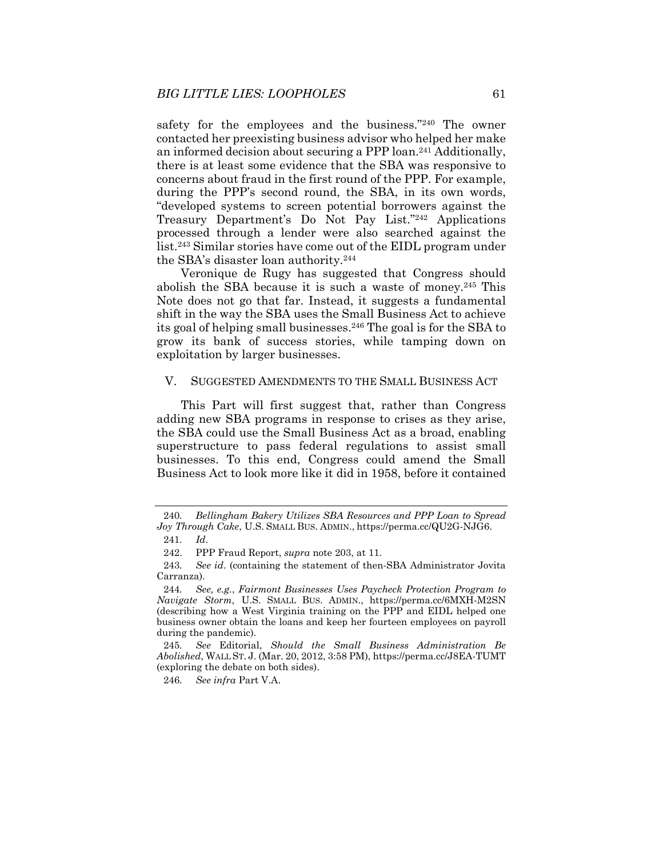safety for the employees and the business."240 The owner contacted her preexisting business advisor who helped her make an informed decision about securing a PPP loan.241 Additionally, there is at least some evidence that the SBA was responsive to concerns about fraud in the first round of the PPP. For example, during the PPP's second round, the SBA, in its own words, "developed systems to screen potential borrowers against the Treasury Department's Do Not Pay List."242 Applications processed through a lender were also searched against the list.243 Similar stories have come out of the EIDL program under the SBA's disaster loan authority.244

Veronique de Rugy has suggested that Congress should abolish the SBA because it is such a waste of money.245 This Note does not go that far. Instead, it suggests a fundamental shift in the way the SBA uses the Small Business Act to achieve its goal of helping small businesses.246 The goal is for the SBA to grow its bank of success stories, while tamping down on exploitation by larger businesses.

## V. SUGGESTED AMENDMENTS TO THE SMALL BUSINESS ACT

This Part will first suggest that, rather than Congress adding new SBA programs in response to crises as they arise, the SBA could use the Small Business Act as a broad, enabling superstructure to pass federal regulations to assist small businesses. To this end, Congress could amend the Small Business Act to look more like it did in 1958, before it contained

<sup>240</sup>*. Bellingham Bakery Utilizes SBA Resources and PPP Loan to Spread Joy Through Cake*, U.S. SMALL BUS. ADMIN., https://perma.cc/QU2G-NJG6.

<sup>241</sup>*. Id*.

 <sup>242.</sup> PPP Fraud Report, *supra* note 203, at 11.

<sup>243</sup>*. See id*. (containing the statement of then-SBA Administrator Jovita Carranza).

<sup>244</sup>*. See, e.g.*, *Fairmont Businesses Uses Paycheck Protection Program to Navigate Storm*, U.S. SMALL BUS. ADMIN., https://perma.cc/6MXH-M2SN (describing how a West Virginia training on the PPP and EIDL helped one business owner obtain the loans and keep her fourteen employees on payroll during the pandemic).

<sup>245</sup>*. See* Editorial, *Should the Small Business Administration Be Abolished*, WALL ST. J. (Mar. 20, 2012, 3:58 PM), https://perma.cc/J8EA-TUMT (exploring the debate on both sides).

<sup>246</sup>*. See infra* Part V.A.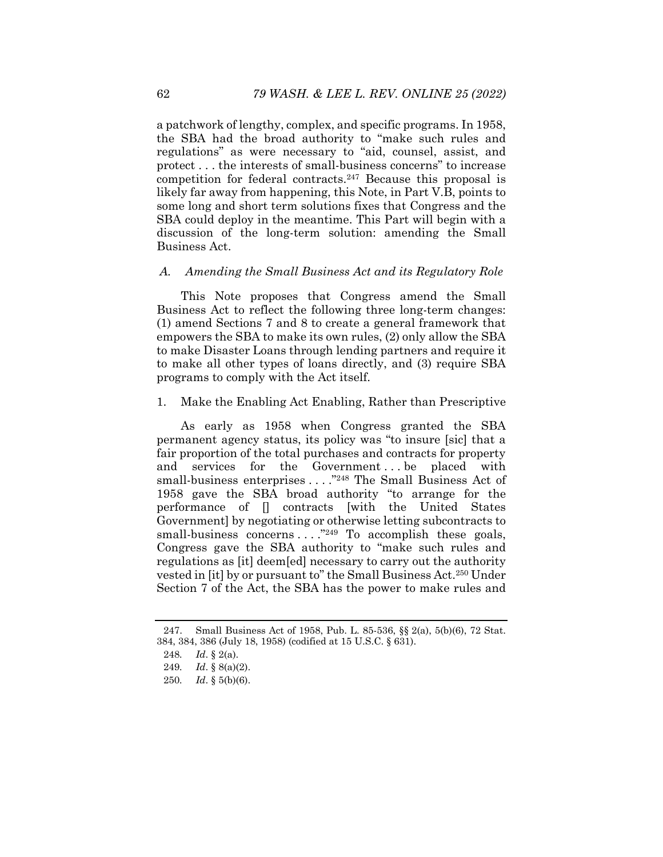a patchwork of lengthy, complex, and specific programs. In 1958, the SBA had the broad authority to "make such rules and regulations" as were necessary to "aid, counsel, assist, and protect . . . the interests of small-business concerns" to increase competition for federal contracts.247 Because this proposal is likely far away from happening, this Note, in Part V.B, points to some long and short term solutions fixes that Congress and the SBA could deploy in the meantime. This Part will begin with a discussion of the long-term solution: amending the Small Business Act.

## *A. Amending the Small Business Act and its Regulatory Role*

This Note proposes that Congress amend the Small Business Act to reflect the following three long-term changes: (1) amend Sections 7 and 8 to create a general framework that empowers the SBA to make its own rules, (2) only allow the SBA to make Disaster Loans through lending partners and require it to make all other types of loans directly, and (3) require SBA programs to comply with the Act itself.

#### 1. Make the Enabling Act Enabling, Rather than Prescriptive

As early as 1958 when Congress granted the SBA permanent agency status, its policy was "to insure [sic] that a fair proportion of the total purchases and contracts for property and services for the Government...be placed with small-business enterprises . . . ."248 The Small Business Act of 1958 gave the SBA broad authority "to arrange for the performance of [] contracts [with the United States Government] by negotiating or otherwise letting subcontracts to small-business concerns . . . ."249 To accomplish these goals, Congress gave the SBA authority to "make such rules and regulations as [it] deem[ed] necessary to carry out the authority vested in [it] by or pursuant to" the Small Business Act.250 Under Section 7 of the Act, the SBA has the power to make rules and

 <sup>247.</sup> Small Business Act of 1958, Pub. L. 85-536, §§ 2(a), 5(b)(6), 72 Stat. 384, 384, 386 (July 18, 1958) (codified at 15 U.S.C. § 631).

<sup>248</sup>*. Id*. § 2(a).

<sup>249</sup>*. Id*. § 8(a)(2).

<sup>250</sup>*. Id*. § 5(b)(6).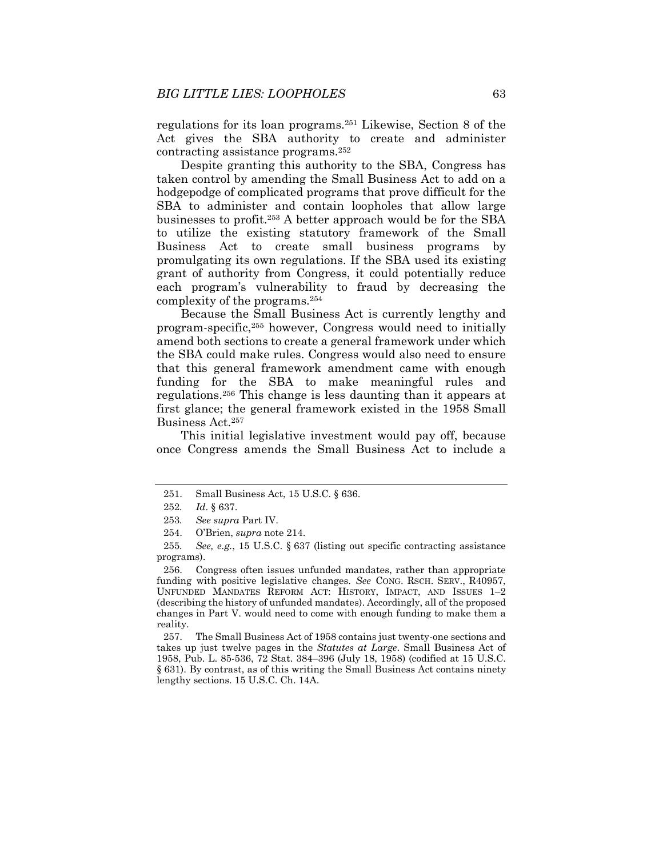regulations for its loan programs.251 Likewise, Section 8 of the Act gives the SBA authority to create and administer contracting assistance programs.252

Despite granting this authority to the SBA, Congress has taken control by amending the Small Business Act to add on a hodgepodge of complicated programs that prove difficult for the SBA to administer and contain loopholes that allow large businesses to profit.253 A better approach would be for the SBA to utilize the existing statutory framework of the Small Business Act to create small business programs by promulgating its own regulations. If the SBA used its existing grant of authority from Congress, it could potentially reduce each program's vulnerability to fraud by decreasing the complexity of the programs.254

Because the Small Business Act is currently lengthy and program-specific,255 however, Congress would need to initially amend both sections to create a general framework under which the SBA could make rules. Congress would also need to ensure that this general framework amendment came with enough funding for the SBA to make meaningful rules and regulations.256 This change is less daunting than it appears at first glance; the general framework existed in the 1958 Small Business Act.257

This initial legislative investment would pay off, because once Congress amends the Small Business Act to include a

 <sup>251.</sup> Small Business Act, 15 U.S.C. § 636.

<sup>252</sup>*. Id*. § 637.

<sup>253</sup>*. See supra* Part IV.

 <sup>254.</sup> O'Brien, *supra* note 214.

<sup>255</sup>*. See, e.g.*, 15 U.S.C. § 637 (listing out specific contracting assistance programs).

 <sup>256.</sup> Congress often issues unfunded mandates, rather than appropriate funding with positive legislative changes. *See* CONG. RSCH. SERV., R40957, UNFUNDED MANDATES REFORM ACT: HISTORY, IMPACT, AND ISSUES 1–2 (describing the history of unfunded mandates). Accordingly, all of the proposed changes in Part V. would need to come with enough funding to make them a reality.

 <sup>257.</sup> The Small Business Act of 1958 contains just twenty-one sections and takes up just twelve pages in the *Statutes at Large*. Small Business Act of 1958, Pub. L. 85-536, 72 Stat. 384–396 (July 18, 1958) (codified at 15 U.S.C. § 631). By contrast, as of this writing the Small Business Act contains ninety lengthy sections. 15 U.S.C. Ch. 14A.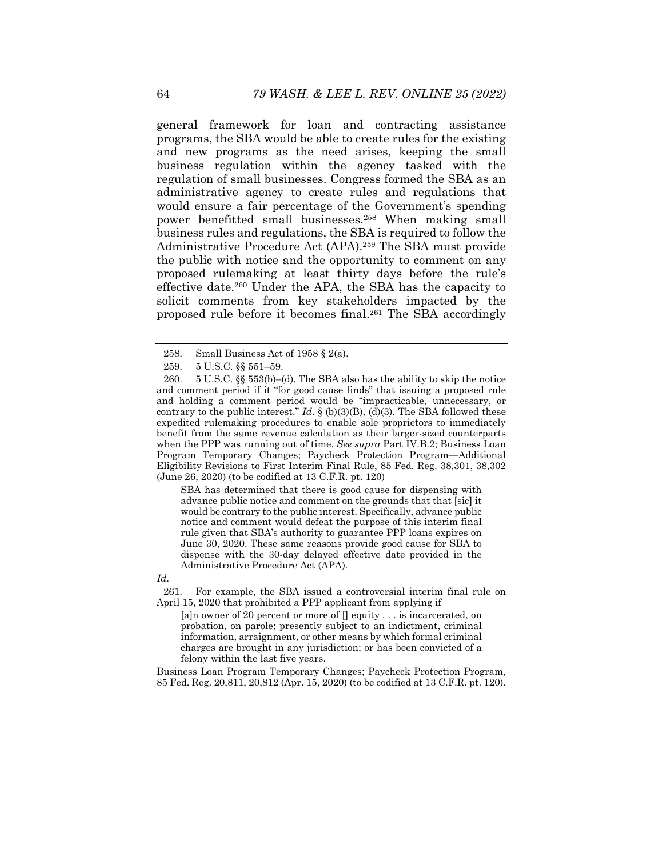general framework for loan and contracting assistance programs, the SBA would be able to create rules for the existing and new programs as the need arises, keeping the small business regulation within the agency tasked with the regulation of small businesses. Congress formed the SBA as an administrative agency to create rules and regulations that would ensure a fair percentage of the Government's spending power benefitted small businesses.258 When making small business rules and regulations, the SBA is required to follow the Administrative Procedure Act (APA).259 The SBA must provide the public with notice and the opportunity to comment on any proposed rulemaking at least thirty days before the rule's effective date.260 Under the APA, the SBA has the capacity to solicit comments from key stakeholders impacted by the proposed rule before it becomes final.261 The SBA accordingly

SBA has determined that there is good cause for dispensing with advance public notice and comment on the grounds that that [sic] it would be contrary to the public interest. Specifically, advance public notice and comment would defeat the purpose of this interim final rule given that SBA's authority to guarantee PPP loans expires on June 30, 2020. These same reasons provide good cause for SBA to dispense with the 30-day delayed effective date provided in the Administrative Procedure Act (APA).

*Id*.

 261. For example, the SBA issued a controversial interim final rule on April 15, 2020 that prohibited a PPP applicant from applying if

[a]n owner of 20 percent or more of  $\parallel$  equity . . . is incarcerated, on probation, on parole; presently subject to an indictment, criminal information, arraignment, or other means by which formal criminal charges are brought in any jurisdiction; or has been convicted of a felony within the last five years.

Business Loan Program Temporary Changes; Paycheck Protection Program, 85 Fed. Reg. 20,811, 20,812 (Apr. 15, 2020) (to be codified at 13 C.F.R. pt. 120).

<sup>258.</sup> Small Business Act of 1958  $\S$  2(a).

 <sup>259. 5</sup> U.S.C. §§ 551–59.

 <sup>260. 5</sup> U.S.C. §§ 553(b)–(d). The SBA also has the ability to skip the notice and comment period if it "for good cause finds" that issuing a proposed rule and holding a comment period would be "impracticable, unnecessary, or contrary to the public interest."  $Id. \S$  (b)(3)(B), (d)(3). The SBA followed these expedited rulemaking procedures to enable sole proprietors to immediately benefit from the same revenue calculation as their larger-sized counterparts when the PPP was running out of time. *See supra* Part IV.B.2; Business Loan Program Temporary Changes; Paycheck Protection Program—Additional Eligibility Revisions to First Interim Final Rule, 85 Fed. Reg. 38,301, 38,302 (June 26, 2020) (to be codified at 13 C.F.R. pt. 120)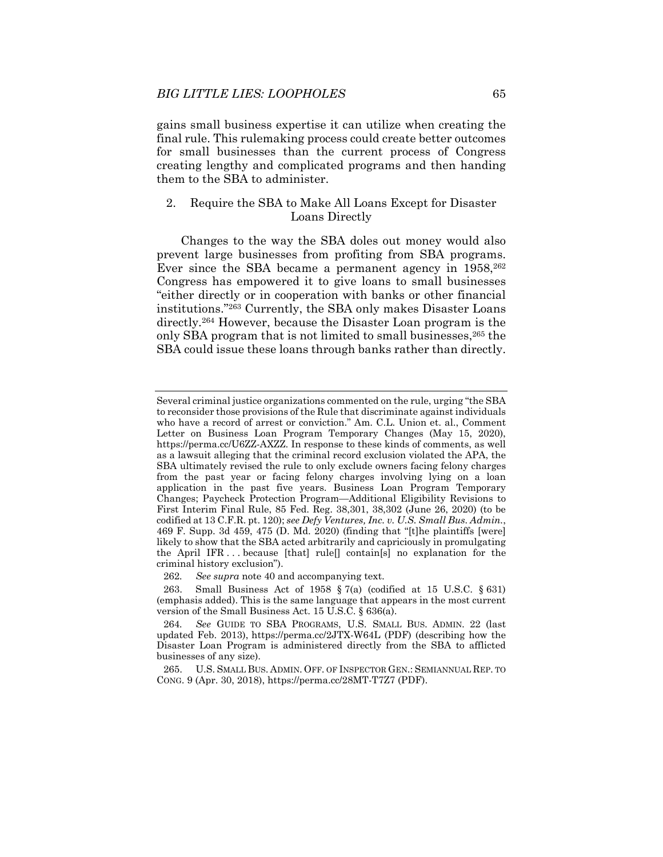gains small business expertise it can utilize when creating the final rule. This rulemaking process could create better outcomes for small businesses than the current process of Congress creating lengthy and complicated programs and then handing them to the SBA to administer.

## 2. Require the SBA to Make All Loans Except for Disaster Loans Directly

Changes to the way the SBA doles out money would also prevent large businesses from profiting from SBA programs. Ever since the SBA became a permanent agency in 1958,  $262$ Congress has empowered it to give loans to small businesses "either directly or in cooperation with banks or other financial institutions."263 Currently, the SBA only makes Disaster Loans directly.264 However, because the Disaster Loan program is the only SBA program that is not limited to small businesses,<sup>265</sup> the SBA could issue these loans through banks rather than directly.

Several criminal justice organizations commented on the rule, urging "the SBA to reconsider those provisions of the Rule that discriminate against individuals who have a record of arrest or conviction." Am. C.L. Union et. al., Comment Letter on Business Loan Program Temporary Changes (May 15, 2020), https://perma.cc/U6ZZ-AXZZ. In response to these kinds of comments, as well as a lawsuit alleging that the criminal record exclusion violated the APA, the SBA ultimately revised the rule to only exclude owners facing felony charges from the past year or facing felony charges involving lying on a loan application in the past five years. Business Loan Program Temporary Changes; Paycheck Protection Program—Additional Eligibility Revisions to First Interim Final Rule, 85 Fed. Reg. 38,301, 38,302 (June 26, 2020) (to be codified at 13 C.F.R. pt. 120); *see Defy Ventures, Inc. v. U.S. Small Bus. Admin.*, 469 F. Supp. 3d 459, 475 (D. Md. 2020) (finding that "[t]he plaintiffs [were] likely to show that the SBA acted arbitrarily and capriciously in promulgating the April IFR . . . because [that] rule[] contain[s] no explanation for the criminal history exclusion").

<sup>262</sup>*. See supra* note 40 and accompanying text.

 <sup>263.</sup> Small Business Act of 1958 § 7(a) (codified at 15 U.S.C. § 631) (emphasis added). This is the same language that appears in the most current version of the Small Business Act. 15 U.S.C. § 636(a).

<sup>264</sup>*. See* GUIDE TO SBA PROGRAMS, U.S. SMALL BUS. ADMIN. 22 (last updated Feb. 2013), https://perma.cc/2JTX-W64L (PDF) (describing how the Disaster Loan Program is administered directly from the SBA to afflicted businesses of any size).

 <sup>265.</sup> U.S. SMALL BUS. ADMIN. OFF. OF INSPECTOR GEN.: SEMIANNUAL REP. TO CONG. 9 (Apr. 30, 2018), https://perma.cc/28MT-T7Z7 (PDF).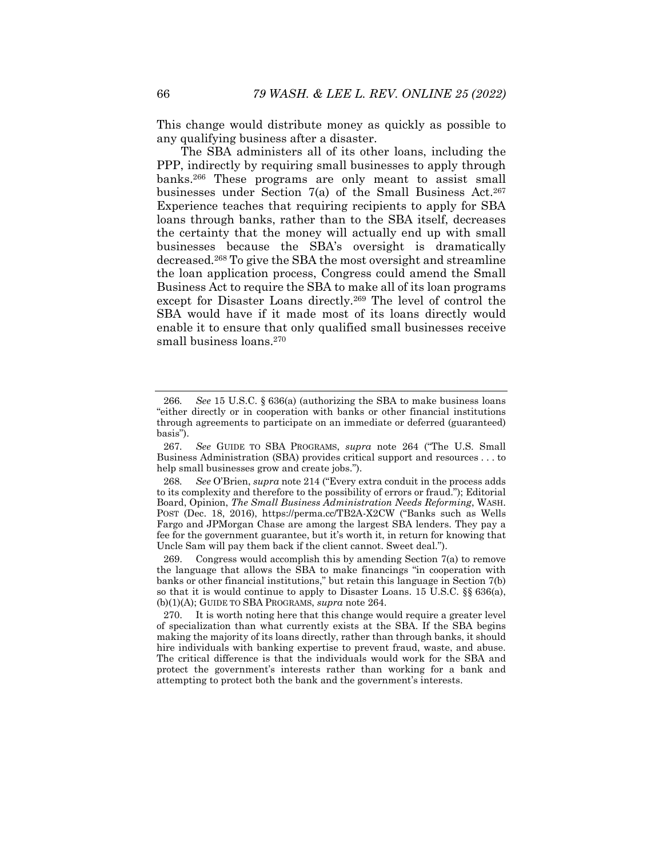This change would distribute money as quickly as possible to any qualifying business after a disaster.

The SBA administers all of its other loans, including the PPP, indirectly by requiring small businesses to apply through banks.266 These programs are only meant to assist small businesses under Section 7(a) of the Small Business Act.<sup>267</sup> Experience teaches that requiring recipients to apply for SBA loans through banks, rather than to the SBA itself, decreases the certainty that the money will actually end up with small businesses because the SBA's oversight is dramatically decreased.268 To give the SBA the most oversight and streamline the loan application process, Congress could amend the Small Business Act to require the SBA to make all of its loan programs except for Disaster Loans directly.269 The level of control the SBA would have if it made most of its loans directly would enable it to ensure that only qualified small businesses receive small business loans.270

 269. Congress would accomplish this by amending Section 7(a) to remove the language that allows the SBA to make financings "in cooperation with banks or other financial institutions," but retain this language in Section 7(b) so that it is would continue to apply to Disaster Loans. 15 U.S.C. §§ 636(a), (b)(1)(A); GUIDE TO SBA PROGRAMS, *supra* note 264.

<sup>266</sup>*. See* 15 U.S.C. § 636(a) (authorizing the SBA to make business loans "either directly or in cooperation with banks or other financial institutions through agreements to participate on an immediate or deferred (guaranteed) basis").

<sup>267</sup>*. See* GUIDE TO SBA PROGRAMS, *supra* note 264 ("The U.S. Small Business Administration (SBA) provides critical support and resources . . . to help small businesses grow and create jobs.").

<sup>268</sup>*. See* O'Brien, *supra* note 214 ("Every extra conduit in the process adds to its complexity and therefore to the possibility of errors or fraud."); Editorial Board, Opinion, *The Small Business Administration Needs Reforming*, WASH. POST (Dec. 18, 2016), https://perma.cc/TB2A-X2CW ("Banks such as Wells Fargo and JPMorgan Chase are among the largest SBA lenders. They pay a fee for the government guarantee, but it's worth it, in return for knowing that Uncle Sam will pay them back if the client cannot. Sweet deal.").

 <sup>270.</sup> It is worth noting here that this change would require a greater level of specialization than what currently exists at the SBA. If the SBA begins making the majority of its loans directly, rather than through banks, it should hire individuals with banking expertise to prevent fraud, waste, and abuse. The critical difference is that the individuals would work for the SBA and protect the government's interests rather than working for a bank and attempting to protect both the bank and the government's interests.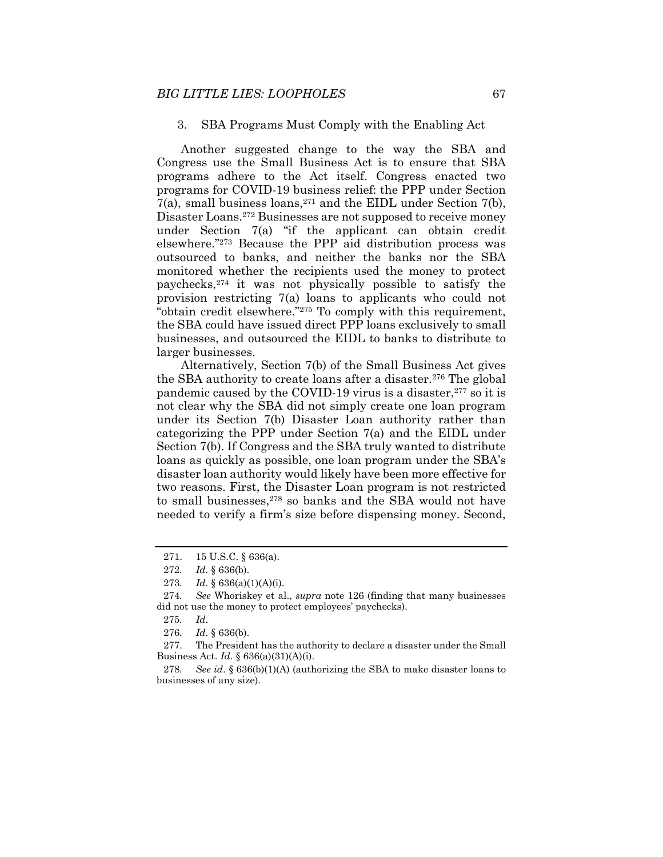#### 3. SBA Programs Must Comply with the Enabling Act

Another suggested change to the way the SBA and Congress use the Small Business Act is to ensure that SBA programs adhere to the Act itself. Congress enacted two programs for COVID-19 business relief: the PPP under Section  $7(a)$ , small business loans,  $271$  and the EIDL under Section 7(b), Disaster Loans.272 Businesses are not supposed to receive money under Section 7(a) "if the applicant can obtain credit elsewhere."273 Because the PPP aid distribution process was outsourced to banks, and neither the banks nor the SBA monitored whether the recipients used the money to protect paychecks,274 it was not physically possible to satisfy the provision restricting 7(a) loans to applicants who could not "obtain credit elsewhere."275 To comply with this requirement, the SBA could have issued direct PPP loans exclusively to small businesses, and outsourced the EIDL to banks to distribute to larger businesses.

Alternatively, Section 7(b) of the Small Business Act gives the SBA authority to create loans after a disaster.<sup>276</sup> The global pandemic caused by the COVID-19 virus is a disaster,<sup>277</sup> so it is not clear why the SBA did not simply create one loan program under its Section 7(b) Disaster Loan authority rather than categorizing the PPP under Section 7(a) and the EIDL under Section 7(b). If Congress and the SBA truly wanted to distribute loans as quickly as possible, one loan program under the SBA's disaster loan authority would likely have been more effective for two reasons. First, the Disaster Loan program is not restricted to small businesses,278 so banks and the SBA would not have needed to verify a firm's size before dispensing money. Second,

 <sup>271. 15</sup> U.S.C. § 636(a).

<sup>272</sup>*. Id*. § 636(b).

<sup>273</sup>*. Id*. § 636(a)(1)(A)(i).

<sup>274</sup>*. See* Whoriskey et al., *supra* note 126 (finding that many businesses did not use the money to protect employees' paychecks).

<sup>275</sup>*. Id*.

<sup>276</sup>*. Id*. § 636(b).

 <sup>277.</sup> The President has the authority to declare a disaster under the Small Business Act. *Id*. § 636(a)(31)(A)(i).

<sup>278</sup>*. See id*. § 636(b)(1)(A) (authorizing the SBA to make disaster loans to businesses of any size).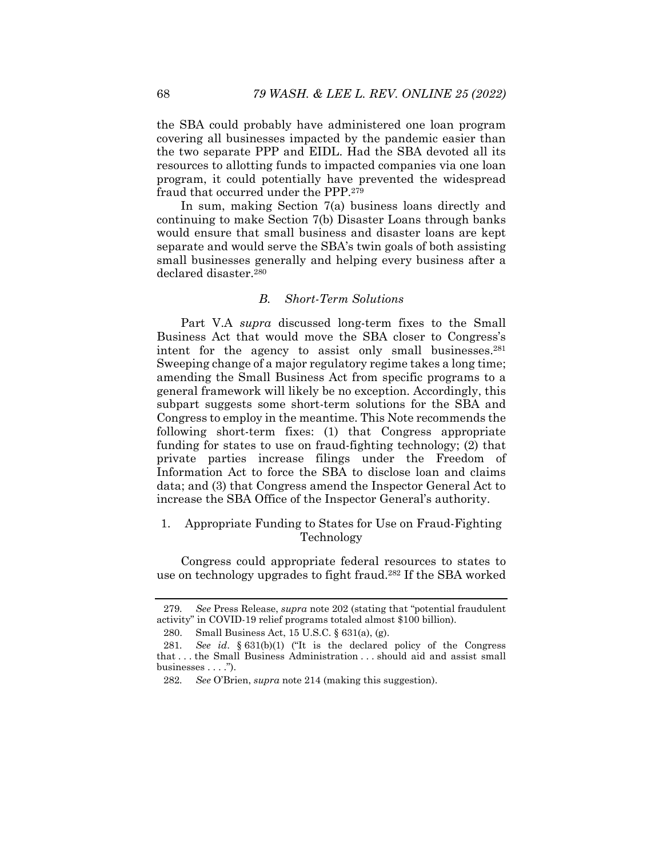the SBA could probably have administered one loan program covering all businesses impacted by the pandemic easier than the two separate PPP and EIDL. Had the SBA devoted all its resources to allotting funds to impacted companies via one loan program, it could potentially have prevented the widespread fraud that occurred under the PPP.279

In sum, making Section 7(a) business loans directly and continuing to make Section 7(b) Disaster Loans through banks would ensure that small business and disaster loans are kept separate and would serve the SBA's twin goals of both assisting small businesses generally and helping every business after a declared disaster.<sup>280</sup>

## *B. Short-Term Solutions*

Part V.A *supra* discussed long-term fixes to the Small Business Act that would move the SBA closer to Congress's intent for the agency to assist only small businesses.<sup>281</sup> Sweeping change of a major regulatory regime takes a long time; amending the Small Business Act from specific programs to a general framework will likely be no exception. Accordingly, this subpart suggests some short-term solutions for the SBA and Congress to employ in the meantime. This Note recommends the following short-term fixes: (1) that Congress appropriate funding for states to use on fraud-fighting technology; (2) that private parties increase filings under the Freedom of Information Act to force the SBA to disclose loan and claims data; and (3) that Congress amend the Inspector General Act to increase the SBA Office of the Inspector General's authority.

1. Appropriate Funding to States for Use on Fraud-Fighting Technology

Congress could appropriate federal resources to states to use on technology upgrades to fight fraud.282 If the SBA worked

<sup>279</sup>*. See* Press Release, *supra* note 202 (stating that "potential fraudulent activity" in COVID-19 relief programs totaled almost \$100 billion).

 <sup>280.</sup> Small Business Act, 15 U.S.C. § 631(a), (g).

<sup>281</sup>*. See id*. § 631(b)(1) ("It is the declared policy of the Congress that . . . the Small Business Administration . . . should aid and assist small businesses . . . .").

<sup>282</sup>*. See* O'Brien, *supra* note 214 (making this suggestion).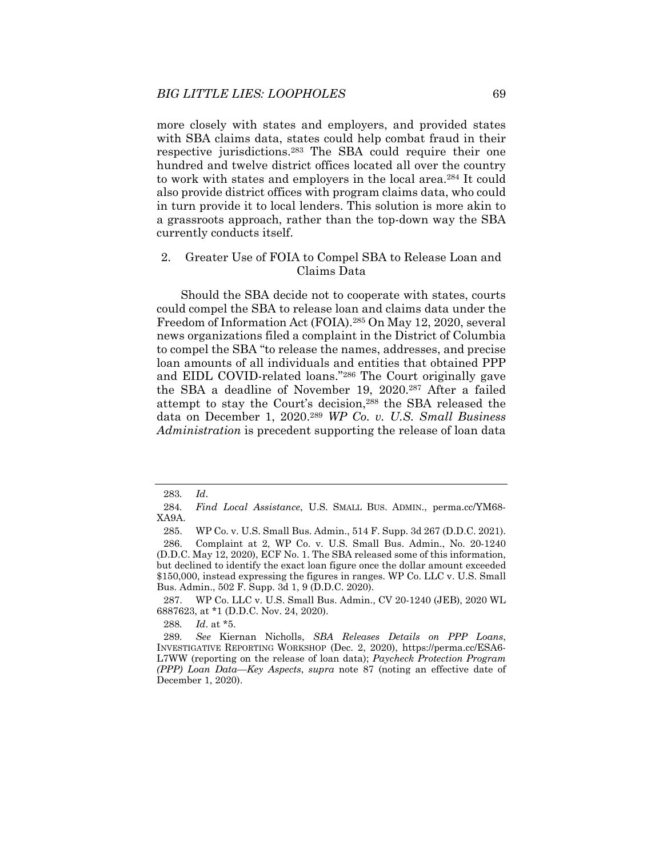more closely with states and employers, and provided states with SBA claims data, states could help combat fraud in their respective jurisdictions.283 The SBA could require their one hundred and twelve district offices located all over the country to work with states and employers in the local area.284 It could also provide district offices with program claims data, who could in turn provide it to local lenders. This solution is more akin to a grassroots approach, rather than the top-down way the SBA currently conducts itself.

## 2. Greater Use of FOIA to Compel SBA to Release Loan and Claims Data

Should the SBA decide not to cooperate with states, courts could compel the SBA to release loan and claims data under the Freedom of Information Act (FOIA).285 On May 12, 2020, several news organizations filed a complaint in the District of Columbia to compel the SBA "to release the names, addresses, and precise loan amounts of all individuals and entities that obtained PPP and EIDL COVID-related loans."286 The Court originally gave the SBA a deadline of November 19, 2020.287 After a failed attempt to stay the Court's decision,288 the SBA released the data on December 1, 2020.289 *WP Co. v. U.S. Small Business Administration* is precedent supporting the release of loan data

288*. Id*. at \*5.

<sup>283</sup>*. Id*.

<sup>284</sup>*. Find Local Assistance*, U.S. SMALL BUS. ADMIN., perma.cc/YM68- XA9A.

 <sup>285.</sup> WP Co. v. U.S. Small Bus. Admin., 514 F. Supp. 3d 267 (D.D.C. 2021). 286. Complaint at 2, WP Co. v. U.S. Small Bus. Admin., No. 20-1240 (D.D.C. May 12, 2020), ECF No. 1. The SBA released some of this information, but declined to identify the exact loan figure once the dollar amount exceeded \$150,000, instead expressing the figures in ranges. WP Co. LLC v. U.S. Small Bus. Admin., 502 F. Supp. 3d 1, 9 (D.D.C. 2020).

 <sup>287.</sup> WP Co. LLC v. U.S. Small Bus. Admin., CV 20-1240 (JEB), 2020 WL 6887623, at \*1 (D.D.C. Nov. 24, 2020).

<sup>289</sup>*. See* Kiernan Nicholls, *SBA Releases Details on PPP Loans*, INVESTIGATIVE REPORTING WORKSHOP (Dec. 2, 2020), https://perma.cc/ESA6- L7WW (reporting on the release of loan data); *Paycheck Protection Program (PPP) Loan Data—Key Aspects*, *supra* note 87 (noting an effective date of December 1, 2020).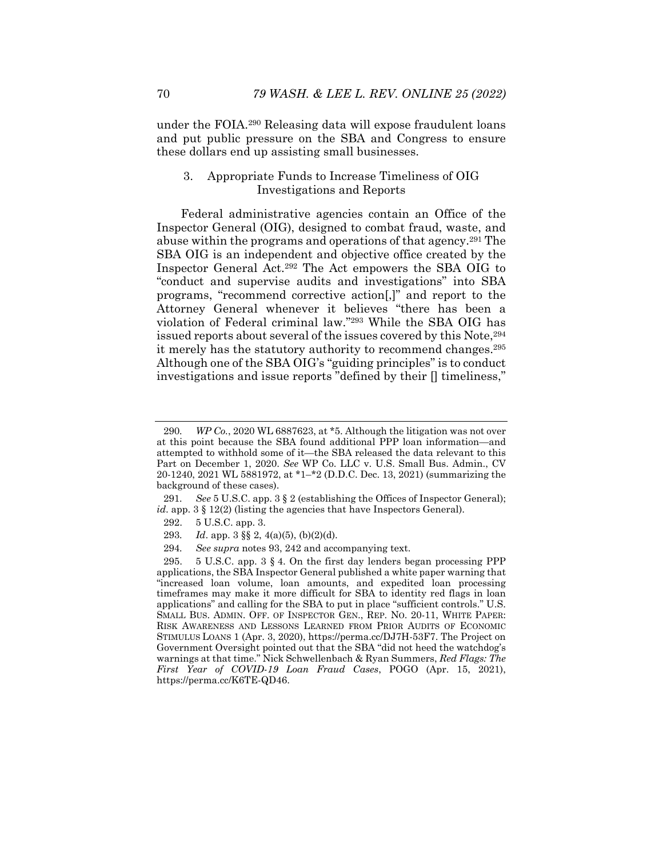under the FOIA.290 Releasing data will expose fraudulent loans and put public pressure on the SBA and Congress to ensure these dollars end up assisting small businesses.

## 3. Appropriate Funds to Increase Timeliness of OIG Investigations and Reports

Federal administrative agencies contain an Office of the Inspector General (OIG), designed to combat fraud, waste, and abuse within the programs and operations of that agency.291 The SBA OIG is an independent and objective office created by the Inspector General Act.292 The Act empowers the SBA OIG to "conduct and supervise audits and investigations" into SBA programs, "recommend corrective action[,]" and report to the Attorney General whenever it believes "there has been a violation of Federal criminal law."293 While the SBA OIG has issued reports about several of the issues covered by this Note, <sup>294</sup> it merely has the statutory authority to recommend changes.295 Although one of the SBA OIG's "guiding principles" is to conduct investigations and issue reports "defined by their [] timeliness,"

- 292. 5 U.S.C. app. 3.
- 293*. Id*. app. 3 §§ 2, 4(a)(5), (b)(2)(d).
- 294*. See supra* notes 93, 242 and accompanying text.

<sup>290</sup>*. WP Co.*, 2020 WL 6887623, at \*5. Although the litigation was not over at this point because the SBA found additional PPP loan information—and attempted to withhold some of it—the SBA released the data relevant to this Part on December 1, 2020. *See* WP Co. LLC v. U.S. Small Bus. Admin., CV 20-1240, 2021 WL 5881972, at \*1–\*2 (D.D.C. Dec. 13, 2021) (summarizing the background of these cases).

<sup>291</sup>*. See* 5 U.S.C. app. 3 § 2 (establishing the Offices of Inspector General); *id*. app. 3 § 12(2) (listing the agencies that have Inspectors General).

 <sup>295. 5</sup> U.S.C. app. 3 § 4. On the first day lenders began processing PPP applications, the SBA Inspector General published a white paper warning that "increased loan volume, loan amounts, and expedited loan processing timeframes may make it more difficult for SBA to identity red flags in loan applications" and calling for the SBA to put in place "sufficient controls." U.S. SMALL BUS. ADMIN. OFF. OF INSPECTOR GEN., REP. NO. 20-11, WHITE PAPER: RISK AWARENESS AND LESSONS LEARNED FROM PRIOR AUDITS OF ECONOMIC STIMULUS LOANS 1 (Apr. 3, 2020), https://perma.cc/DJ7H-53F7. The Project on Government Oversight pointed out that the SBA "did not heed the watchdog's warnings at that time." Nick Schwellenbach & Ryan Summers, *Red Flags: The First Year of COVID-19 Loan Fraud Cases*, POGO (Apr. 15, 2021), https://perma.cc/K6TE-QD46.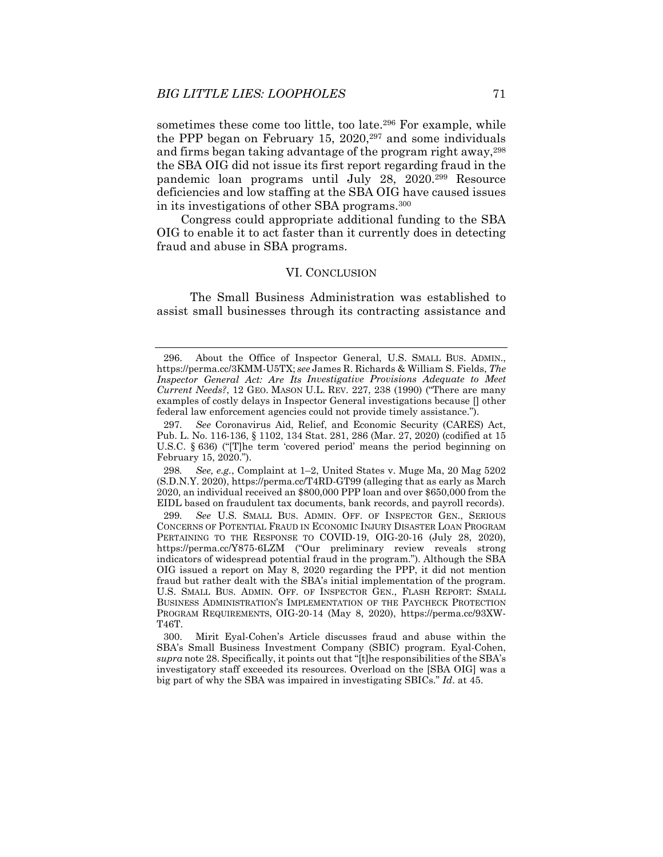sometimes these come too little, too late.<sup>296</sup> For example, while the PPP began on February 15, 2020,<sup>297</sup> and some individuals and firms began taking advantage of the program right away,<sup>298</sup> the SBA OIG did not issue its first report regarding fraud in the pandemic loan programs until July 28, 2020.299 Resource deficiencies and low staffing at the SBA OIG have caused issues in its investigations of other SBA programs.300

Congress could appropriate additional funding to the SBA OIG to enable it to act faster than it currently does in detecting fraud and abuse in SBA programs.

#### VI. CONCLUSION

 The Small Business Administration was established to assist small businesses through its contracting assistance and

298*. See, e.g.*, Complaint at 1–2, United States v. Muge Ma, 20 Mag 5202 (S.D.N.Y. 2020), https://perma.cc/T4RD-GT99 (alleging that as early as March 2020, an individual received an \$800,000 PPP loan and over \$650,000 from the EIDL based on fraudulent tax documents, bank records, and payroll records).

 <sup>296.</sup> About the Office of Inspector General, U.S. SMALL BUS. ADMIN., https://perma.cc/3KMM-U5TX; *see* James R. Richards & William S. Fields, *The Inspector General Act: Are Its Investigative Provisions Adequate to Meet Current Needs?*, 12 GEO. MASON U.L. REV. 227, 238 (1990) ("There are many examples of costly delays in Inspector General investigations because [] other federal law enforcement agencies could not provide timely assistance.").

<sup>297</sup>*. See* Coronavirus Aid, Relief, and Economic Security (CARES) Act, Pub. L. No. 116-136, § 1102, 134 Stat. 281, 286 (Mar. 27, 2020) (codified at 15 U.S.C. § 636) ("[T]he term 'covered period' means the period beginning on February 15, 2020.").

<sup>299</sup>*. See* U.S. SMALL BUS. ADMIN. OFF. OF INSPECTOR GEN., SERIOUS CONCERNS OF POTENTIAL FRAUD IN ECONOMIC INJURY DISASTER LOAN PROGRAM PERTAINING TO THE RESPONSE TO COVID-19, OIG-20-16 (July 28, 2020), https://perma.cc/Y875-6LZM ("Our preliminary review reveals strong indicators of widespread potential fraud in the program."). Although the SBA OIG issued a report on May 8, 2020 regarding the PPP, it did not mention fraud but rather dealt with the SBA's initial implementation of the program. U.S. SMALL BUS. ADMIN. OFF. OF INSPECTOR GEN., FLASH REPORT: SMALL BUSINESS ADMINISTRATION'S IMPLEMENTATION OF THE PAYCHECK PROTECTION PROGRAM REQUIREMENTS, OIG-20-14 (May 8, 2020), https://perma.cc/93XW-T46T.

 <sup>300.</sup> Mirit Eyal-Cohen's Article discusses fraud and abuse within the SBA's Small Business Investment Company (SBIC) program. Eyal-Cohen, *supra* note 28. Specifically, it points out that "[t]he responsibilities of the SBA's investigatory staff exceeded its resources. Overload on the [SBA OIG] was a big part of why the SBA was impaired in investigating SBICs." *Id*. at 45.